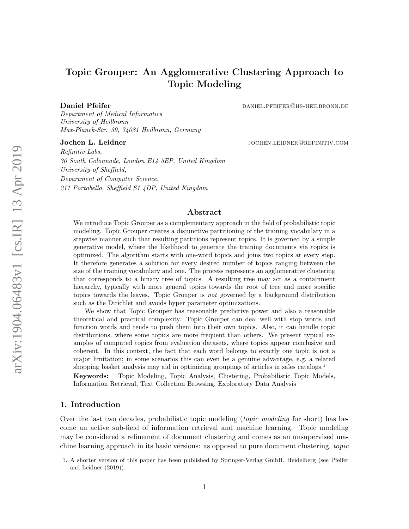# Topic Grouper: An Agglomerative Clustering Approach to Topic Modeling

Daniel Pfeifer **daniel.** Pfeifer daniel. **Daniel.** PFEIFER@HS-HEILBRONN.DE

Department of Medical Informatics University of Heilbronn Max-Planck-Str. 39, 74081 Heilbronn, Germany

Jochen L. Leidner in the settlement of the settlement of the settlement of the settlement of the settlement of the settlement of the settlement of the settlement of the settlement of the settlement of the settlement of the

Refinitiv Labs, 30 South Colonnade, London E14 5EP, United Kingdom University of Sheffield, Department of Computer Science, 211 Portobello, Sheffield S1 4DP, United Kingdom

## Abstract

We introduce Topic Grouper as a complementary approach in the field of probabilistic topic modeling. Topic Grouper creates a disjunctive partitioning of the training vocabulary in a stepwise manner such that resulting partitions represent topics. It is governed by a simple generative model, where the likelihood to generate the training documents via topics is optimized. The algorithm starts with one-word topics and joins two topics at every step. It therefore generates a solution for every desired number of topics ranging between the size of the training vocabulary and one. The process represents an agglomerative clustering that corresponds to a binary tree of topics. A resulting tree may act as a containment hierarchy, typically with more general topics towards the root of tree and more specific topics towards the leaves. Topic Grouper is not governed by a background distribution such as the Dirichlet and avoids hyper parameter optimizations.

We show that Topic Grouper has reasonable predictive power and also a reasonable theoretical and practical complexity. Topic Grouper can deal well with stop words and function words and tends to push them into their own topics. Also, it can handle topic distributions, where some topics are more frequent than others. We present typical examples of computed topics from evaluation datasets, where topics appear conclusive and coherent. In this context, the fact that each word belongs to exactly one topic is not a major limitation; in some scenarios this can even be a genuine advantage, e.g. a related shopping basket analysis may aid in optimizing groupings of articles in sales catalogs.<sup>[1](#page-0-0)</sup> Keywords: Topic Modeling, Topic Analysis, Clustering, Probabilistic Topic Models, Information Retrieval, Text Collection Browsing, Exploratory Data Analysis

## <span id="page-0-1"></span>1. Introduction

Over the last two decades, probabilistic topic modeling (*topic modeling* for short) has become an active sub-field of information retrieval and machine learning. Topic modeling may be considered a refinement of document clustering and comes as an unsupervised machine learning approach in its basic versions: as opposed to pure document clustering, topic

<span id="page-0-0"></span><sup>1.</sup> A shorter version of this paper has been published by Springer-Verlag GmbH, Heidelberg (see [Pfeifer](#page-38-0) [and Leidner](#page-38-0) [\(2019\)](#page-38-0)).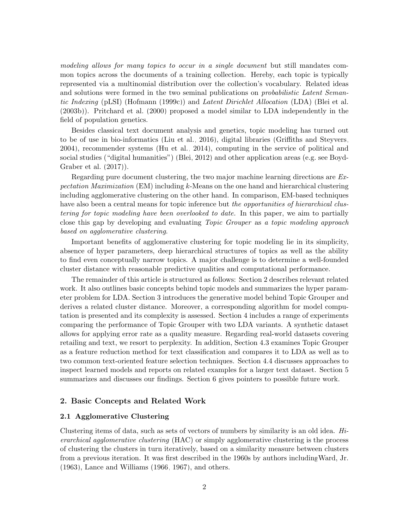modeling allows for many topics to occur in a single document but still mandates common topics across the documents of a training collection. Hereby, each topic is typically represented via a multinomial distribution over the collection's vocabulary. Related ideas and solutions were formed in the two seminal publications on *probabilistic Latent Seman*-tic Indexing (pLSI) [\(Hofmann](#page-36-0) [\(1999c\)](#page-36-0)) and Latent Dirichlet Allocation (LDA) [\(Blei et al.](#page-35-0) [\(2003b\)](#page-35-0)). [Pritchard et al.](#page-38-1) [\(2000\)](#page-38-1) proposed a model similar to LDA independently in the field of population genetics.

Besides classical text document analysis and genetics, topic modeling has turned out to be of use in bio-informatics [\(Liu et al., 2016\)](#page-38-2), digital libraries [\(Griffiths and Steyvers,](#page-36-1) [2004\)](#page-36-1), recommender systems [\(Hu et al., 2014\)](#page-37-0), computing in the service of political and social studies ("digital humanities") [\(Blei, 2012\)](#page-35-1) and other application areas (e.g. see [Boyd-](#page-35-2)[Graber et al.](#page-35-2) [\(2017\)](#page-35-2)).

Regarding pure document clustering, the two major machine learning directions are Expectation Maximization (EM) including  $k$ -Means on the one hand and hierarchical clustering including agglomerative clustering on the other hand. In comparison, EM-based techniques have also been a central means for topic inference but the opportunities of hierarchical clustering for topic modeling have been overlooked to date. In this paper, we aim to partially close this gap by developing and evaluating Topic Grouper as a topic modeling approach based on agglomerative clustering.

Important benefits of agglomerative clustering for topic modeling lie in its simplicity, absence of hyper parameters, deep hierarchical structures of topics as well as the ability to find even conceptually narrow topics. A major challenge is to determine a well-founded cluster distance with reasonable predictive qualities and computational performance.

The remainder of this article is structured as follows: Section [2](#page-1-0) describes relevant related work. It also outlines basic concepts behind topic models and summarizes the hyper parameter problem for LDA. Section [3](#page-9-0) introduces the generative model behind Topic Grouper and derives a related cluster distance. Moreover, a corresponding algorithm for model computation is presented and its complexity is assessed. Section [4](#page-12-0) includes a range of experiments comparing the performance of Topic Grouper with two LDA variants. A synthetic dataset allows for applying error rate as a quality measure. Regarding real-world datasets covering retailing and text, we resort to perplexity. In addition, Section [4.3](#page-19-0) examines Topic Grouper as a feature reduction method for text classification and compares it to LDA as well as to two common text-oriented feature selection techniques. Section [4.4](#page-23-0) discusses approaches to inspect learned models and reports on related examples for a larger text dataset. Section [5](#page-25-0) summarizes and discusses our findings. Section [6](#page-28-0) gives pointers to possible future work.

## <span id="page-1-0"></span>2. Basic Concepts and Related Work

## 2.1 Agglomerative Clustering

Clustering items of data, such as sets of vectors of numbers by similarity is an old idea. Hierarchical agglomerative clustering (HAC) or simply agglomerative clustering is the process of clustering the clusters in turn iteratively, based on a similarity measure between clusters from a previous iteration. It was first described in the 1960s by authors includin[gWard, Jr.](#page-39-0) [\(1963\)](#page-39-0), [Lance and Williams](#page-37-1) [\(1966,](#page-37-1) [1967\)](#page-37-2), and others.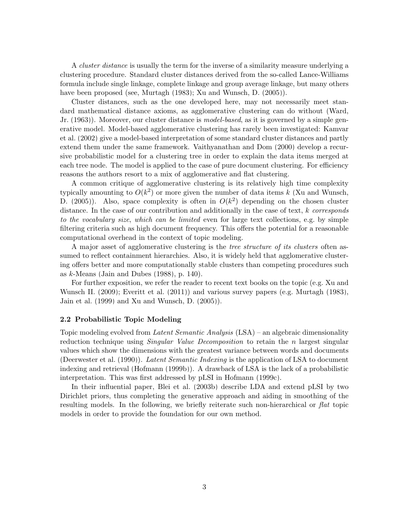A cluster distance is usually the term for the inverse of a similarity measure underlying a clustering procedure. Standard cluster distances derived from the so-called Lance-Williams formula include single linkage, complete linkage and group average linkage, but many others have been proposed (see, [Murtagh](#page-38-3) [\(1983\)](#page-38-3); [Xu and Wunsch, D.](#page-39-1) [\(2005\)](#page-39-1)).

Cluster distances, such as the one developed here, may not necessarily meet standard mathematical distance axioms, as agglomerative clustering can do without [\(Ward,](#page-39-0) [Jr.](#page-39-0) [\(1963\)](#page-39-0)). Moreover, our cluster distance is *model-based*, as it is governed by a simple generative model. Model-based agglomerative clustering has rarely been investigated: [Kamvar](#page-37-3) [et al.](#page-37-3) [\(2002\)](#page-37-3) give a model-based interpretation of some standard cluster distances and partly extend them under the same framework. [Vaithyanathan and Dom](#page-39-2) [\(2000\)](#page-39-2) develop a recursive probabilistic model for a clustering tree in order to explain the data items merged at each tree node. The model is applied to the case of pure document clustering. For efficiency reasons the authors resort to a mix of agglomerative and flat clustering.

A common critique of agglomerative clustering is its relatively high time complexity typically amounting to  $O(k^2)$  or more given the number of data items k [\(Xu and Wunsch,](#page-39-1) [D.](#page-39-1) [\(2005\)](#page-39-1)). Also, space complexity is often in  $O(k^2)$  depending on the chosen cluster distance. In the case of our contribution and additionally in the case of text, k corresponds to the vocabulary size, which can be limited even for large text collections, e.g. by simple filtering criteria such as high document frequency. This offers the potential for a reasonable computational overhead in the context of topic modeling.

A major asset of agglomerative clustering is the tree structure of its clusters often assumed to reflect containment hierarchies. Also, it is widely held that agglomerative clustering offers better and more computationally stable clusters than competing procedures such as  $k$ -Means [\(Jain and Dubes](#page-37-4) [\(1988\)](#page-37-4), p. 140).

For further exposition, we refer the reader to recent text books on the topic (e.g. [Xu and](#page-39-3) [Wunsch II.](#page-39-3) [\(2009\)](#page-39-3); [Everitt et al.](#page-36-2) [\(2011\)](#page-36-2)) and various survey papers (e.g. [Murtagh](#page-38-3) [\(1983\)](#page-38-3), [Jain et al.](#page-37-5) [\(1999\)](#page-37-5) and [Xu and Wunsch, D.](#page-39-1) [\(2005\)](#page-39-1)).

## <span id="page-2-0"></span>2.2 Probabilistic Topic Modeling

Topic modeling evolved from Latent Semantic Analysis (LSA) – an algebraic dimensionality reduction technique using *Singular Value Decomposition* to retain the *n* largest singular values which show the dimensions with the greatest variance between words and documents [\(Deerwester et al.](#page-36-3) [\(1990\)](#page-36-3)). Latent Semantic Indexing is the application of LSA to document indexing and retrieval [\(Hofmann](#page-36-4) [\(1999b\)](#page-36-4)). A drawback of LSA is the lack of a probabilistic interpretation. This was first addressed by pLSI in [Hofmann](#page-36-0) [\(1999c\)](#page-36-0).

In their influential paper, [Blei et al.](#page-35-0) [\(2003b\)](#page-35-0) describe LDA and extend pLSI by two Dirichlet priors, thus completing the generative approach and aiding in smoothing of the resulting models. In the following, we briefly reiterate such non-hierarchical or flat topic models in order to provide the foundation for our own method.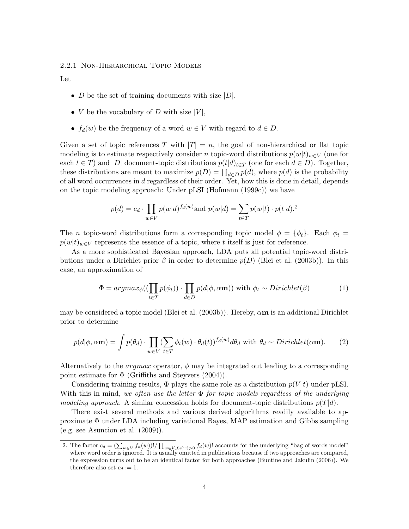## 2.2.1 Non-Hierarchical Topic Models

Let

- D be the set of training documents with size  $|D|$ ,
- *V* be the vocabulary of *D* with size  $|V|$ ,
- $f_d(w)$  be the frequency of a word  $w \in V$  with regard to  $d \in D$ .

Given a set of topic references T with  $|T| = n$ , the goal of non-hierarchical or flat topic modeling is to estimate respectively consider n topic-word distributions  $p(w|t)_{w\in V}$  (one for each  $t \in T$ ) and  $|D|$  document-topic distributions  $p(t|d)_{t \in T}$  (one for each  $d \in D$ ). Together, these distributions are meant to maximize  $p(D) = \prod_{d \in D} p(d)$ , where  $p(d)$  is the probability of all word occurrences in d regardless of their order. Yet, how this is done in detail, depends on the topic modeling approach: Under pLSI [\(Hofmann](#page-36-0) [\(1999c\)](#page-36-0)) we have

$$
p(d) = c_d \cdot \prod_{w \in V} p(w|d)^{f_d(w)} \text{and } p(w|d) = \sum_{t \in T} p(w|t) \cdot p(t|d).^2
$$

The n topic-word distributions form a corresponding topic model  $\phi = {\phi_t}$ . Each  $\phi_t =$  $p(w|t)_{w\in V}$  represents the essence of a topic, where t itself is just for reference.

As a more sophisticated Bayesian approach, LDA puts all potential topic-word distributions under a Dirichlet prior  $\beta$  in order to determine  $p(D)$  [\(Blei et al.](#page-35-0) [\(2003b\)](#page-35-0)). In this case, an approximation of

<span id="page-3-2"></span><span id="page-3-1"></span>
$$
\Phi = argmax_{\phi}((\prod_{t \in T} p(\phi_t)) \cdot \prod_{d \in D} p(d|\phi, \alpha \mathbf{m})) \text{ with } \phi_t \sim Dirichlet(\beta) \tag{1}
$$

may be considered a topic model [\(Blei et al.](#page-35-0) [\(2003b\)](#page-35-0)). Hereby,  $\alpha$ **m** is an additional Dirichlet prior to determine

$$
p(d|\phi, \alpha \mathbf{m}) = \int p(\theta_d) \cdot \prod_{w \in V} (\sum_{t \in T} \phi_t(w) \cdot \theta_d(t))^{f_d(w)} d\theta_d \text{ with } \theta_d \sim Dirichlet(\alpha \mathbf{m}). \tag{2}
$$

Alternatively to the *argmax* operator,  $\phi$  may be integrated out leading to a corresponding point estimate for  $\Phi$  [\(Griffiths and Steyvers](#page-36-1) [\(2004\)](#page-36-1)).

Considering training results,  $\Phi$  plays the same role as a distribution  $p(V|t)$  under pLSI. With this in mind, we often use the letter  $\Phi$  for topic models regardless of the underlying modeling approach. A similar concession holds for document-topic distributions  $p(T|d)$ .

There exist several methods and various derived algorithms readily available to approximate Φ under LDA including variational Bayes, MAP estimation and Gibbs sampling (e.g. see [Asuncion et al.](#page-35-3) [\(2009\)](#page-35-3)).

<span id="page-3-0"></span><sup>2.</sup> The factor  $c_d = (\sum_{w \in V} f_d(w))! / \prod_{w \in V, f_d(w) > 0} f_d(w)!$  accounts for the underlying "bag of words model" where word order is ignored. It is usually omitted in publications because if two approaches are compared, the expression turns out to be an identical factor for both approaches [\(Buntine and Jakulin](#page-35-4) [\(2006\)](#page-35-4)). We therefore also set  $c_d := 1$ .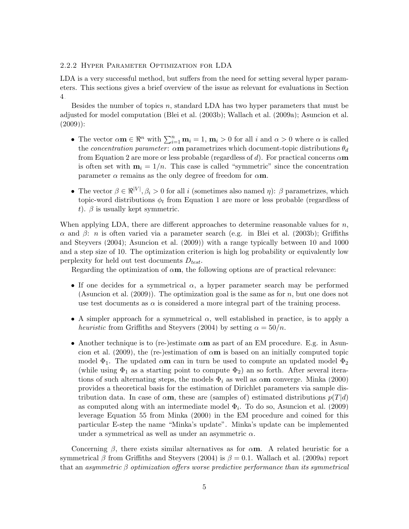## <span id="page-4-0"></span>2.2.2 Hyper Parameter Optimization for LDA

LDA is a very successful method, but suffers from the need for setting several hyper parameters. This sections gives a brief overview of the issue as relevant for evaluations in Section [4.](#page-12-0)

Besides the number of topics n, standard LDA has two hyper parameters that must be adjusted for model computation [\(Blei et al.](#page-35-0) [\(2003b\)](#page-35-0); [Wallach et al.](#page-39-4) [\(2009a\)](#page-39-4); [Asuncion et al.](#page-35-3)  $(2009)$ :

- The vector  $\alpha \mathbf{m} \in \mathbb{R}^n$  with  $\sum_{i=1}^n \mathbf{m}_i = 1$ ,  $\mathbf{m}_i > 0$  for all i and  $\alpha > 0$  where  $\alpha$  is called the *concentration parameter*:  $\alpha$ **m** parametrizes which document-topic distributions  $\theta_d$ from Equation [2](#page-3-1) are more or less probable (regardless of d). For practical concerns  $\alpha$ m is often set with  $m_i = 1/n$ . This case is called "symmetric" since the concentration parameter  $\alpha$  remains as the only degree of freedom for  $\alpha$ m.
- The vector  $\beta \in \mathbb{R}^{|V|}, \beta_i > 0$  for all i (sometimes also named  $\eta$ ):  $\beta$  parametrizes, which topic-word distributions  $\phi_t$  from Equation [1](#page-3-2) are more or less probable (regardless of t).  $\beta$  is usually kept symmetric.

When applying LDA, there are different approaches to determine reasonable values for  $n$ , α and β: n is often varied via a parameter search (e.g. in [Blei et al.](#page-35-0) [\(2003b\)](#page-35-0); [Griffiths](#page-36-1) [and Steyvers](#page-36-1) [\(2004\)](#page-36-1); [Asuncion et al.](#page-35-3) [\(2009\)](#page-35-3)) with a range typically between 10 and 1000 and a step size of 10. The optimization criterion is high log probability or equivalently low perplexity for held out test documents  $D_{test}$ .

Regarding the optimization of  $\alpha$ m, the following options are of practical relevance:

- If one decides for a symmetrical  $\alpha$ , a hyper parameter search may be performed [\(Asuncion et al.](#page-35-3)  $(2009)$ ). The optimization goal is the same as for n, but one does not use test documents as  $\alpha$  is considered a more integral part of the training process.
- A simpler approach for a symmetrical  $\alpha$ , well established in practice, is to apply a heuristic from [Griffiths and Steyvers](#page-36-1) [\(2004\)](#page-36-1) by setting  $\alpha = 50/n$ .
- Another technique is to (re-)estimate  $\alpha$ **m** as part of an EM procedure. E.g. in [Asun](#page-35-3)[cion et al.](#page-35-3) [\(2009\)](#page-35-3), the (re-)estimation of  $\alpha$ **m** is based on an initially computed topic model  $\Phi_1$ . The updated  $\alpha$ **m** can in turn be used to compute an updated model  $\Phi_2$ (while using  $\Phi_1$  as a starting point to compute  $\Phi_2$ ) an so forth. After several iterations of such alternating steps, the models  $\Phi_i$  as well as  $\alpha$ **m** converge. [Minka](#page-38-4) [\(2000\)](#page-38-4) provides a theoretical basis for the estimation of Dirichlet parameters via sample distribution data. In case of  $\alpha$ m, these are (samples of) estimated distributions  $p(T|d)$ as computed along with an intermediate model  $\Phi_i$ . To do so, [Asuncion et al.](#page-35-3) [\(2009\)](#page-35-3) leverage Equation 55 from [Minka](#page-38-4) [\(2000\)](#page-38-4) in the EM procedure and coined for this particular E-step the name "Minka's update". Minka's update can be implemented under a symmetrical as well as under an asymmetric  $\alpha$ .

Concerning  $\beta$ , there exists similar alternatives as for  $\alpha$ m. A related heuristic for a symmetrical β from [Griffiths and Steyvers](#page-36-1) [\(2004\)](#page-36-1) is  $\beta = 0.1$ . [Wallach et al.](#page-39-4) [\(2009a\)](#page-39-4) report that an asymmetric  $\beta$  optimization offers worse predictive performance than its symmetrical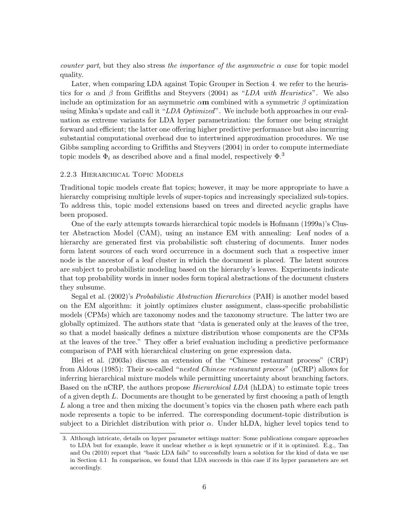*counter part*, but they also stress the importance of the asymmetric  $\alpha$  case for topic model quality.

Later, when comparing LDA against Topic Grouper in Section [4,](#page-12-0) we refer to the heuristics for  $\alpha$  and  $\beta$  from [Griffiths and Steyvers](#page-36-1) [\(2004\)](#page-36-1) as "LDA with Heuristics". We also include an optimization for an asymmetric  $\alpha$ **m** combined with a symmetric  $\beta$  optimization using Minka's update and call it "LDA Optimized". We include both approaches in our evaluation as extreme variants for LDA hyper parametrization: the former one being straight forward and efficient; the latter one offering higher predictive performance but also incurring substantial computational overhead due to intertwined approximation procedures. We use Gibbs sampling according to [Griffiths and Steyvers](#page-36-1) [\(2004\)](#page-36-1) in order to compute intermediate topic models  $\Phi_i$  as described above and a final model, respectively  $\Phi$ .<sup>[3](#page-5-0)</sup>

## 2.2.3 Hierarchical Topic Models

Traditional topic models create flat topics; however, it may be more appropriate to have a hierarchy comprising multiple levels of super-topics and increasingly specialized sub-topics. To address this, topic model extensions based on trees and directed acyclic graphs have been proposed.

One of the early attempts towards hierarchical topic models is [Hofmann](#page-36-5) [\(1999a\)](#page-36-5)'s Cluster Abstraction Model (CAM), using an instance EM with annealing: Leaf nodes of a hierarchy are generated first via probabilistic soft clustering of documents. Inner nodes form latent sources of each word occurrence in a document such that a respective inner node is the ancestor of a leaf cluster in which the document is placed. The latent sources are subject to probabilistic modeling based on the hierarchy's leaves. Experiments indicate that top probability words in inner nodes form topical abstractions of the document clusters they subsume.

[Segal et al.](#page-38-5) [\(2002\)](#page-38-5)'s Probabilistic Abstraction Hierarchies (PAH) is another model based on the EM algorithm: it jointly optimizes cluster assignment, class-specific probabilistic models (CPMs) which are taxonomy nodes and the taxonomy structure. The latter two are globally optimized. The authors state that "data is generated only at the leaves of the tree, so that a model basically defines a mixture distribution whose components are the CPMs at the leaves of the tree." They offer a brief evaluation including a predictive performance comparison of PAH with hierarchical clustering on gene expression data.

[Blei et al.](#page-35-5) [\(2003a\)](#page-35-5) discuss an extension of the "Chinese restaurant process" (CRP) from [Aldous](#page-35-6) [\(1985\)](#page-35-6): Their so-called "nested Chinese restaurant process" (nCRP) allows for inferring hierarchical mixture models while permitting uncertainty about branching factors. Based on the nCRP, the authors propose *Hierarchical LDA* (hLDA) to estimate topic trees of a given depth  $L$ . Documents are thought to be generated by first choosing a path of length L along a tree and then mixing the document's topics via the chosen path where each path node represents a topic to be inferred. The corresponding document-topic distribution is subject to a Dirichlet distribution with prior  $\alpha$ . Under hLDA, higher level topics tend to

<span id="page-5-0"></span><sup>3.</sup> Although intricate, details on hyper parameter settings matter: Some publications compare approaches to LDA but for example, leave it unclear whether  $\alpha$  is kept symmetric or if it is optimized. E.g., [Tan](#page-39-5) [and Ou](#page-39-5) [\(2010\)](#page-39-5) report that "basic LDA fails" to successfully learn a solution for the kind of data we use in Section [4.1.](#page-12-1) In comparison, we found that LDA succeeds in this case if its hyper parameters are set accordingly.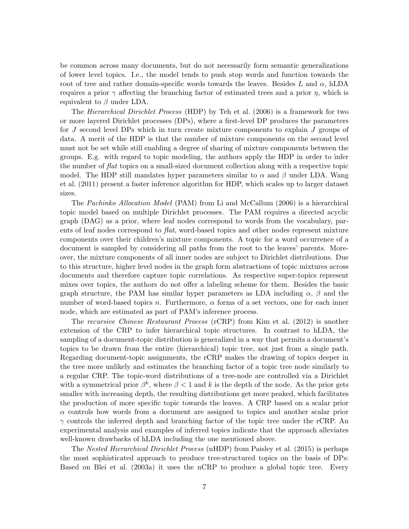be common across many documents, but do not necessarily form semantic generalizations of lower level topics. I.e., the model tends to push stop words and function towards the root of tree and rather domain-specific words towards the leaves. Besides L and  $\alpha$ , hLDA requires a prior  $\gamma$  affecting the branching factor of estimated trees and a prior  $\eta$ , which is equivalent to  $\beta$  under LDA.

The Hierarchical Dirichlet Process (HDP) by [Teh et al.](#page-39-6) [\(2006\)](#page-39-6) is a framework for two or more layered Dirichlet processes (DPs), where a first-level DP produces the parameters for J second level DPs which in turn create mixture components to explain J groups of data. A merit of the HDP is that the number of mixture components on the second level must not be set while still enabling a degree of sharing of mixture components between the groups. E.g. with regard to topic modeling, the authors apply the HDP in order to infer the number of flat topics on a small-sized document collection along with a respective topic model. The HDP still mandates hyper parameters similar to  $\alpha$  and  $\beta$  under LDA. [Wang](#page-39-7) [et al.](#page-39-7) [\(2011\)](#page-39-7) present a faster inference algorithm for HDP, which scales up to larger dataset sizes.

The Pachinko Allocation Model (PAM) from [Li and McCallum](#page-37-6) [\(2006\)](#page-37-6) is a hierarchical topic model based on multiple Dirichlet processes. The PAM requires a directed acyclic graph (DAG) as a prior, where leaf nodes correspond to words from the vocabulary, parents of leaf nodes correspond to *flat*, word-based topics and other nodes represent mixture components over their children's mixture components. A topic for a word occurrence of a document is sampled by considering all paths from the root to the leaves' parents. Moreover, the mixture components of all inner nodes are subject to Dirichlet distributions. Due to this structure, higher level nodes in the graph form abstractions of topic mixtures across documents and therefore capture topic correlations. As respective super-topics represent mixes over topics, the authors do not offer a labeling scheme for them. Besides the basic graph structure, the PAM has similar hyper parameters as LDA including  $\alpha$ ,  $\beta$  and the number of word-based topics n. Furthermore,  $\alpha$  forms of a set vectors, one for each inner node, which are estimated as part of PAM's inference process.

The recursive Chinese Restaurant Process (rCRP) from [Kim et al.](#page-37-7) [\(2012\)](#page-37-7) is another extension of the CRP to infer hierarchical topic structures. In contrast to hLDA, the sampling of a document-topic distribution is generalized in a way that permits a document's topics to be drawn from the entire (hierarchical) topic tree, not just from a single path. Regarding document-topic assignments, the rCRP makes the drawing of topics deeper in the tree more unlikely and estimates the branching factor of a topic tree node similarly to a regular CRP. The topic-word distributions of a tree-node are controlled via a Dirichlet with a symmetrical prior  $\beta^k$ , where  $\beta < 1$  and k is the depth of the node. As the prior gets smaller with increasing depth, the resulting distributions get more peaked, which facilitates the production of more specific topic towards the leaves. A CRP based on a scalar prior  $\alpha$  controls how words from a document are assigned to topics and another scalar prior  $\gamma$  controls the inferred depth and branching factor of the topic tree under the rCRP. An experimental analysis and examples of inferred topics indicate that the approach alleviates well-known drawbacks of hLDA including the one mentioned above.

The Nested Hierarchical Dirichlet Process (nHDP) from [Paisley et al.](#page-38-6) [\(2015\)](#page-38-6) is perhaps the most sophisticated approach to produce tree-structured topics on the basis of DPs: Based on [Blei et al.](#page-35-5) [\(2003a\)](#page-35-5) it uses the nCRP to produce a global topic tree. Every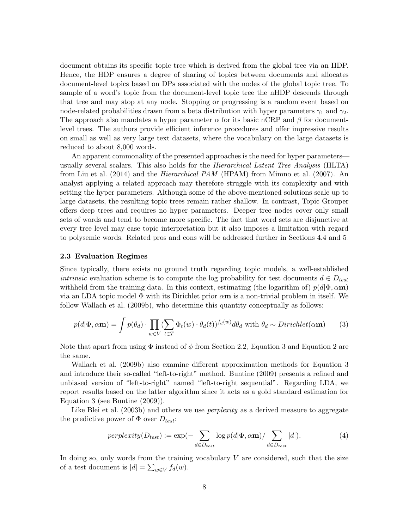document obtains its specific topic tree which is derived from the global tree via an HDP. Hence, the HDP ensures a degree of sharing of topics between documents and allocates document-level topics based on DPs associated with the nodes of the global topic tree. To sample of a word's topic from the document-level topic tree the nHDP descends through that tree and may stop at any node. Stopping or progressing is a random event based on node-related probabilities drawn from a beta distribution with hyper parameters  $\gamma_1$  and  $\gamma_2$ . The approach also mandates a hyper parameter  $\alpha$  for its basic nCRP and  $\beta$  for documentlevel trees. The authors provide efficient inference procedures and offer impressive results on small as well as very large text datasets, where the vocabulary on the large datasets is reduced to about 8,000 words.

An apparent commonality of the presented approaches is the need for hyper parameters usually several scalars. This also holds for the Hierarchical Latent Tree Analysis (HLTA) from [Liu et al.](#page-38-7) [\(2014\)](#page-38-7) and the Hierarchical PAM (HPAM) from [Mimno et al.](#page-38-8) [\(2007\)](#page-38-8). An analyst applying a related approach may therefore struggle with its complexity and with setting the hyper parameters. Although some of the above-mentioned solutions scale up to large datasets, the resulting topic trees remain rather shallow. In contrast, Topic Grouper offers deep trees and requires no hyper parameters. Deeper tree nodes cover only small sets of words and tend to become more specific. The fact that word sets are disjunctive at every tree level may ease topic interpretation but it also imposes a limitation with regard to polysemic words. Related pros and cons will be addressed further in Sections [4.4](#page-23-0) and [5.](#page-25-0)

## <span id="page-7-1"></span>2.3 Evaluation Regimes

Since typically, there exists no ground truth regarding topic models, a well-established *intrinsic* evaluation scheme is to compute the log probability for test documents  $d \in D_{test}$ withheld from the training data. In this context, estimating (the logarithm of)  $p(d|\Phi, \alpha m)$ via an LDA topic model  $\Phi$  with its Dirichlet prior  $\alpha$ **m** is a non-trivial problem in itself. We follow [Wallach et al.](#page-39-8) [\(2009b\)](#page-39-8), who determine this quantity conceptually as follows:

<span id="page-7-0"></span>
$$
p(d|\Phi,\alpha\mathbf{m}) = \int p(\theta_d) \cdot \prod_{w \in V} (\sum_{t \in T} \Phi_t(w) \cdot \theta_d(t))^{f_d(w)} d\theta_d \text{ with } \theta_d \sim Dirichlet(\alpha \mathbf{m}) \tag{3}
$$

Note that apart from using  $\Phi$  instead of  $\phi$  from Section [2.2,](#page-2-0) Equation [3](#page-7-0) and Equation [2](#page-3-1) are the same.

[Wallach et al.](#page-39-8) [\(2009b\)](#page-39-8) also examine different approximation methods for Equation [3](#page-7-0) and introduce their so-called "left-to-right" method. [Buntine](#page-35-7) [\(2009\)](#page-35-7) presents a refined and unbiased version of "left-to-right" named "left-to-right sequential". Regarding LDA, we report results based on the latter algorithm since it acts as a gold standard estimation for Equation [3](#page-7-0) (see [Buntine](#page-35-7) [\(2009\)](#page-35-7)).

Like [Blei et al.](#page-35-0) [\(2003b\)](#page-35-0) and others we use *perplexity* as a derived measure to aggregate the predictive power of  $\Phi$  over  $D_{test}$ :

<span id="page-7-2"></span>
$$
perplexity(D_{test}) := \exp(-\sum_{d \in D_{test}} \log p(d|\Phi, \alpha \mathbf{m}) / \sum_{d \in D_{test}} |d|).
$$
 (4)

In doing so, only words from the training vocabulary  $V$  are considered, such that the size of a test document is  $|d| = \sum_{w \in V} f_d(w)$ .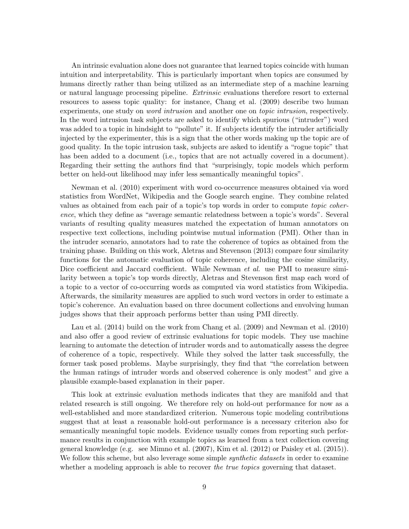An intrinsic evaluation alone does not guarantee that learned topics coincide with human intuition and interpretability. This is particularly important when topics are consumed by humans directly rather than being utilized as an intermediate step of a machine learning or natural language processing pipeline. Extrinsic evaluations therefore resort to external resources to assess topic quality: for instance, [Chang et al.](#page-35-8) [\(2009\)](#page-35-8) describe two human experiments, one study on *word intrusion* and another one on *topic intrusion*, respectively. In the word intrusion task subjects are asked to identify which spurious ("intruder") word was added to a topic in hindsight to "pollute" it. If subjects identify the intruder artificially injected by the experimenter, this is a sign that the other words making up the topic are of good quality. In the topic intrusion task, subjects are asked to identify a "rogue topic" that has been added to a document (i.e., topics that are not actually covered in a document). Regarding their setting the authors find that "surprisingly, topic models which perform better on held-out likelihood may infer less semantically meaningful topics".

[Newman et al.](#page-38-9) [\(2010\)](#page-38-9) experiment with word co-occurrence measures obtained via word statistics from WordNet, Wikipedia and the Google search engine. They combine related values as obtained from each pair of a topic's top words in order to compute topic coherence, which they define as "average semantic relatedness between a topic's words". Several variants of resulting quality measures matched the expectation of human annotators on respective text collections, including pointwise mutual information (PMI). Other than in the intruder scenario, annotators had to rate the coherence of topics as obtained from the training phase. Building on this work, [Aletras and Stevenson](#page-35-9) [\(2013\)](#page-35-9) compare four similarity functions for the automatic evaluation of topic coherence, including the cosine similarity, Dice coefficient and Jaccard coefficient. While Newman *et al.* use PMI to measure similarity between a topic's top words directly, Aletras and Stevenson first map each word of a topic to a vector of co-occurring words as computed via word statistics from Wikipedia. Afterwards, the similarity measures are applied to such word vectors in order to estimate a topic's coherence. An evaluation based on three document collections and envolving human judges shows that their approach performs better than using PMI directly.

[Lau et al.](#page-37-8) [\(2014\)](#page-37-8) build on the work from [Chang et al.](#page-35-8) [\(2009\)](#page-35-8) and [Newman et al.](#page-38-9) [\(2010\)](#page-38-9) and also offer a good review of extrinsic evaluations for topic models. They use machine learning to automate the detection of intruder words and to automatically assess the degree of coherence of a topic, respectively. While they solved the latter task successfully, the former task posed problems. Maybe surprisingly, they find that "the correlation between the human ratings of intruder words and observed coherence is only modest" and give a plausible example-based explanation in their paper.

This look at extrinsic evaluation methods indicates that they are manifold and that related research is still ongoing. We therefore rely on hold-out performance for now as a well-established and more standardized criterion. Numerous topic modeling contributions suggest that at least a reasonable hold-out performance is a necessary criterion also for semantically meaningful topic models. Evidence usually comes from reporting such performance results in conjunction with example topics as learned from a text collection covering general knowledge (e.g. see [Mimno et al.](#page-38-8) [\(2007\)](#page-38-8), [Kim et al.](#page-37-7) [\(2012\)](#page-37-7) or [Paisley et al.](#page-38-6) [\(2015\)](#page-38-6)). We follow this scheme, but also leverage some simple *synthetic datasets* in order to examine whether a modeling approach is able to recover the true topics governing that dataset.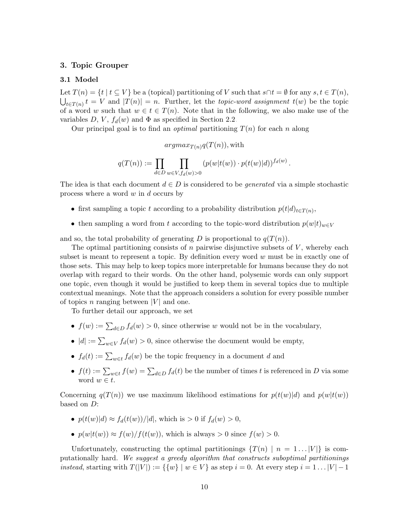## <span id="page-9-0"></span>3. Topic Grouper

## <span id="page-9-1"></span>3.1 Model

Let  $T(n) = \{t \mid t \subseteq V\}$  be a (topical) partitioning of V such that  $s \cap t = \emptyset$  for any  $s, t \in T(n)$ ,  $\bigcup_{t\in T(n)} t = V$  and  $|T(n)| = n$ . Further, let the *topic-word assignment*  $t(w)$  be the topic of a word w such that  $w \in t \in T(n)$ . Note that in the following, we also make use of the variables  $D, V, f_d(w)$  and  $\Phi$  as specified in Section [2.2.](#page-2-0)

Our principal goal is to find an *optimal* partitioning  $T(n)$  for each n along

 $argmax_{T(n)}q(T(n))$ , with

$$
q(T(n)) := \prod_{d \in D} \prod_{w \in V, f_d(w) > 0} (p(w|t(w)) \cdot p(t(w)|d))^{f_d(w)}.
$$

The idea is that each document  $d \in D$  is considered to be *generated* via a simple stochastic process where a word  $w$  in  $d$  occurs by

- first sampling a topic t according to a probability distribution  $p(t|d)_{t\in T(n)}$ ,
- then sampling a word from t according to the topic-word distribution  $p(w|t)_{w\in V}$

and so, the total probability of generating D is proportional to  $q(T(n))$ .

The optimal partitioning consists of  $n$  pairwise disjunctive subsets of  $V$ , whereby each subset is meant to represent a topic. By definition every word  $w$  must be in exactly one of those sets. This may help to keep topics more interpretable for humans because they do not overlap with regard to their words. On the other hand, polysemic words can only support one topic, even though it would be justified to keep them in several topics due to multiple contextual meanings. Note that the approach considers a solution for every possible number of topics n ranging between  $|V|$  and one.

To further detail our approach, we set

- $f(w) := \sum_{d \in D} f_d(w) > 0$ , since otherwise w would not be in the vocabulary,
- $|d| := \sum_{w \in V} f_d(w) > 0$ , since otherwise the document would be empty,
- $f_d(t) := \sum_{w \in t} f_d(w)$  be the topic frequency in a document d and
- $f(t) := \sum_{w \in t} f(w) = \sum_{d \in D} f_d(t)$  be the number of times t is referenced in D via some word  $w \in t$ .

Concerning  $q(T(n))$  we use maximum likelihood estimations for  $p(t(w)|d)$  and  $p(w|t(w))$ based on D:

- $p(t(w)|d) \approx f_d(t(w))/|d|$ , which is  $> 0$  if  $f_d(w) > 0$ ,
- $p(w|t(w)) \approx f(w)/f(t(w))$ , which is always > 0 since  $f(w) > 0$ .

Unfortunately, constructing the optimal partitionings  $\{T(n) \mid n = 1...|V|\}$  is computationally hard. We suggest a greedy algorithm that constructs suboptimal partitionings instead, starting with  $T(|V|) := {\{w\} | w \in V}$  as step  $i = 0$ . At every step  $i = 1 ... |V| - 1$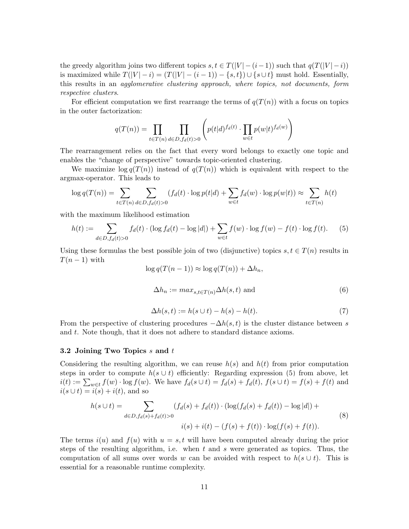the greedy algorithm joins two different topics  $s, t \in T(|V| - (i-1))$  such that  $q(T(|V| - i))$ is maximized while  $T(|V| - i) = (T(|V| - (i - 1)) - \{s, t\}) \cup \{s \cup t\}$  must hold. Essentially, this results in an agglomerative clustering approach, where topics, not documents, form respective clusters.

For efficient computation we first rearrange the terms of  $q(T(n))$  with a focus on topics in the outer factorization:

$$
q(T(n)) = \prod_{t \in T(n)} \prod_{d \in D, f_d(t) > 0} \left( p(t|d)^{f_d(t)} \cdot \prod_{w \in t} p(w|t)^{f_d(w)} \right)
$$

The rearrangement relies on the fact that every word belongs to exactly one topic and enables the "change of perspective" towards topic-oriented clustering.

We maximize  $\log q(T(n))$  instead of  $q(T(n))$  which is equivalent with respect to the argmax-operator. This leads to

$$
\log q(T(n)) = \sum_{t \in T(n)} \sum_{d \in D, f_d(t) > 0} (f_d(t) \cdot \log p(t|d) + \sum_{w \in t} f_d(w) \cdot \log p(w|t)) \approx \sum_{t \in T(n)} h(t)
$$

with the maximum likelihood estimation

$$
h(t) := \sum_{d \in D, f_d(t) > 0} f_d(t) \cdot (\log f_d(t) - \log |d|) + \sum_{w \in t} f(w) \cdot \log f(w) - f(t) \cdot \log f(t). \tag{5}
$$

<span id="page-10-2"></span>Using these formulas the best possible join of two (disjunctive) topics  $s, t \in T(n)$  results in  $T(n-1)$  with

<span id="page-10-0"></span>
$$
\log q(T(n-1)) \approx \log q(T(n)) + \Delta h_n,
$$
  

$$
\Delta h_n := \max_{s,t \in T(n)} \Delta h(s,t) \text{ and } (6)
$$

$$
\Delta h(s,t) := h(s \cup t) - h(s) - h(t). \tag{7}
$$

<span id="page-10-3"></span>From the perspective of clustering procedures  $-\Delta h(s, t)$  is the cluster distance between s and t. Note though, that it does not adhere to standard distance axioms.

## 3.2 Joining Two Topics  $s$  and  $t$

Considering the resulting algorithm, we can reuse  $h(s)$  and  $h(t)$  from prior computation steps in order to compute  $h(s \cup t)$  efficiently: Regarding expression [\(5\)](#page-10-0) from above, let  $i(t) := \sum_{w \in t} f(w) \cdot \log f(w)$ . We have  $f_d(s \cup t) = f_d(s) + f_d(t)$ ,  $f(s \cup t) = f(s) + f(t)$  and  $i(s \cup t) = i(s) + i(t)$ , and so

<span id="page-10-1"></span>
$$
h(s \cup t) = \sum_{d \in D, f_d(s) + f_d(t) > 0} (f_d(s) + f_d(t)) \cdot (\log(f_d(s) + f_d(t)) - \log|d|) +
$$
  

$$
i(s) + i(t) - (f(s) + f(t)) \cdot \log(f(s) + f(t)).
$$
 (8)

The terms  $i(u)$  and  $f(u)$  with  $u = s, t$  will have been computed already during the prior steps of the resulting algorithm, i.e. when t and s were generated as topics. Thus, the computation of all sums over words w can be avoided with respect to  $h(s \cup t)$ . This is essential for a reasonable runtime complexity.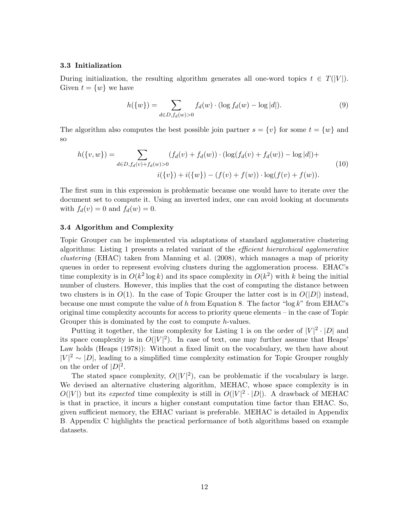## <span id="page-11-2"></span>3.3 Initialization

During initialization, the resulting algorithm generates all one-word topics  $t \in T(|V|)$ . Given  $t = \{w\}$  we have

<span id="page-11-0"></span>
$$
h({w}) = \sum_{d \in D, f_d(w) > 0} f_d(w) \cdot (\log f_d(w) - \log |d|). \tag{9}
$$

<span id="page-11-1"></span>The algorithm also computes the best possible join partner  $s = \{v\}$  for some  $t = \{w\}$  and so

$$
h(\{v, w\}) = \sum_{d \in D, f_d(v) + f_d(w) > 0} (f_d(v) + f_d(w)) \cdot (\log(f_d(v) + f_d(w)) - \log|d|) +
$$
\n
$$
i(\{v\}) + i(\{w\}) - (f(v) + f(w)) \cdot \log(f(v) + f(w)). \tag{10}
$$

The first sum in this expression is problematic because one would have to iterate over the document set to compute it. Using an inverted index, one can avoid looking at documents with  $f_d(v) = 0$  and  $f_d(w) = 0$ .

## <span id="page-11-3"></span>3.4 Algorithm and Complexity

Topic Grouper can be implemented via adaptations of standard agglomerative clustering algorithms: Listing [1](#page-12-2) presents a related variant of the efficient hierarchical agglomerative clustering (EHAC) taken from [Manning et al.](#page-38-10) [\(2008\)](#page-38-10), which manages a map of priority queues in order to represent evolving clusters during the agglomeration process. EHAC's time complexity is in  $O(k^2 \log k)$  and its space complexity in  $O(k^2)$  with k being the initial number of clusters. However, this implies that the cost of computing the distance between two clusters is in  $O(1)$ . In the case of Topic Grouper the latter cost is in  $O(|D|)$  instead, because one must compute the value of h from Equation [8.](#page-10-1) The factor "log k" from EHAC's original time complexity accounts for access to priority queue elements – in the case of Topic Grouper this is dominated by the cost to compute h-values.

Putting it together, the time complexity for Listing [1](#page-12-2) is on the order of  $|V|^2 \cdot |D|$  and its space complexity is in  $O(|V|^2)$ . In case of text, one may further assume that Heaps' Law holds [\(Heaps](#page-36-6) [\(1978\)](#page-36-6)): Without a fixed limit on the vocabulary, we then have about  $|V|^2 \sim |D|$ , leading to a simplified time complexity estimation for Topic Grouper roughly on the order of  $|D|^2$ .

The stated space complexity,  $O(|V|^2)$ , can be problematic if the vocabulary is large. We devised an alternative clustering algorithm, MEHAC, whose space complexity is in  $O(|V|)$  but its expected time complexity is still in  $O(|V|^2 \cdot |D|)$ . A drawback of MEHAC is that in practice, it incurs a higher constant computation time factor than EHAC. So, given sufficient memory, the EHAC variant is preferable. MEHAC is detailed in Appendix [B.](#page-1-0) Appendix [C](#page-9-0) highlights the practical performance of both algorithms based on example datasets.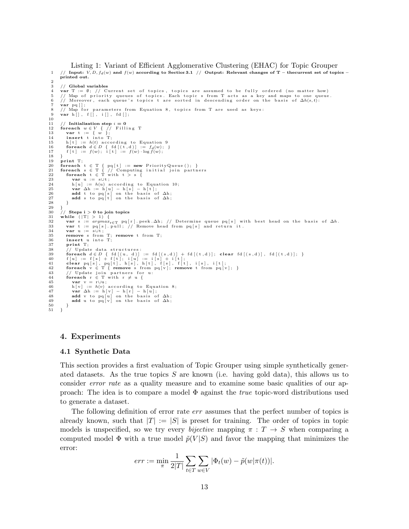<span id="page-12-2"></span>Listing 1: Variant of Efficient Agglomerative Clustering (EHAC) for Topic Grouper 1 // Input:  $V, D, f_d(w)$  and  $f(w)$  according to Sectio[n3.1](#page-9-1) // Output: Relevant changes of T – thecurrent set of topics – printed out.

```
\frac{2}{3}3 // Global variables<br>4 var T = \emptyset // C
   4 var T := Ø; // Current set of topics, topics are assumed to be fully ordered (no matter how)<br>5 // Map of priority queues of topics. Each topic s from T acts as a key and maps to one queue.<br>6 // Moreover, each queue's to
  \begin{bmatrix} 7 & \textbf{var} & \textbf{pq} \end{bmatrix} = \begin{bmatrix} 8 & // \end{bmatrix} Map for
   8, topics from T are used as keys:<br>9 var hil fil iil fdil.
          \mathbf{var} \; \mathbf{h} [ ] , \; \; \mathbf{f} [ ] , \; \; \mathbf{i} [ ] , \; \; \mathbf{fd} [ ] ;10
11 // Initialization step i = 0<br>12 foreach w \in V { // Filli
 12 foreach w \in V { // Filling T<br>
13 var t := { w };<br>
14 insert t into T;
 15 h [t] := h(t) 9<br>
16 foreach d \in D { fd [(t,d)] := f(w); b\mathbf{g}(w); }<br>
17 f [t] := f(w); i [t] := f(w) \cdot \log f(w);
\frac{18}{19}19 print T;<br>
20 foreach
          \begin{array}{rcl} \mathbf{for each} & t \in \mathcal{T} \ \{ \text{ pq } [ \, t \, ] & := \mathbf{new} \ \text{PriorityQueue } ( \, ) \, ; \end{array} \}21 foreach s \in T { // Computing initial join partners<br>22 foreach t \in T with t > s {
 23 var u := s∪t;<br>
24 h [u] := h(u) 10;<br>
25 var \Delta h := h [u] - h [s] - h [t];<br>
26 add t to pq [s] on the basis of \Delta h;<br>
27 add s to pq [t] on the basis of \Delta h;
28 }
\frac{29}{30}\begin{array}{cc} 30 & // \text{Steps } i > 0 \text{ to join topics} \\ 31 & while & (|T| > 1) \end{array}31 while (|T| > 1) {<br>32 var s := argmax<sub>r</sub>
 32 var s := argmax<sub>r∈</sub>T pq[r].peek.∆h; // Determine queue pq[s] with best head on the basis of ∆h.<br>33 var t := pq[s].pull; // Remove head from pq[s] and return it.<br>34 var u := s∪t;
35 remove s from T; remove t from T;<br>36 insert u into T;
36 insert u into T;<br>37 print T:
\begin{array}{cc} 37 & \textbf{print} \\ 38 & // \end{array}38 // Update data structures:<br>
39 foreach d \in D { fd [(i,d)] + fd [(t,d)]; clear fd [(s,d)], fd [(t,d)]; }<br>
40 f[u] := f[s] + f[t]; i[u] := i[s] + i[t];<br>
41 clear pq[s], pq[t], h[s], h[t], f[s], f[t], i[s], i[t
45 var v = r∪u;<br>46 h [y] := h(v);
  8;<br>
var Δh := h [v] - h [r] - h [u];<br>
add v to pq [v] on the basis of Δh;<br>
add u to pq [v] on the basis of Δh;
50 }
51 }
```
## <span id="page-12-0"></span>4. Experiments

## <span id="page-12-1"></span>4.1 Synthetic Data

This section provides a first evaluation of Topic Grouper using simple synthetically generated datasets. As the true topics  $S$  are known (i.e. having gold data), this allows us to consider *error rate* as a quality measure and to examine some basic qualities of our approach: The idea is to compare a model  $\Phi$  against the *true* topic-word distributions used to generate a dataset.

The following definition of error rate *err* assumes that the perfect number of topics is already known, such that  $|T| := |S|$  is preset for training. The order of topics in topic models is unspecified, so we try every *bijective* mapping  $\pi : T \rightarrow S$  when comparing a computed model  $\Phi$  with a true model  $\tilde{p}(V|S)$  and favor the mapping that minimizes the error:

$$
err := \min_{\pi} \frac{1}{2|T|} \sum_{t \in T} \sum_{w \in V} |\Phi_t(w) - \tilde{p}(w|\pi(t))|.
$$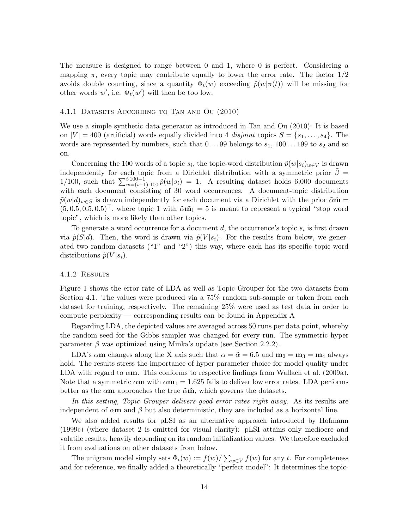The measure is designed to range between 0 and 1, where 0 is perfect. Considering a mapping  $\pi$ , every topic may contribute equally to lower the error rate. The factor  $1/2$ avoids double counting, since a quantity  $\Phi_t(w)$  exceeding  $\tilde{p}(w|\pi(t))$  will be missing for other words  $w'$ , i.e.  $\Phi_t(w')$  will then be too low.

## <span id="page-13-0"></span>4.1.1 Datasets According to [Tan and Ou](#page-39-5) [\(2010\)](#page-39-5)

We use a simple synthetic data generator as introduced in [Tan and Ou](#page-39-5) [\(2010\)](#page-39-5): It is based on  $|V| = 400$  (artificial) words equally divided into 4 disjoint topics  $S = \{s_1, \ldots, s_4\}$ . The words are represented by numbers, such that  $0 \dots 99$  belongs to  $s_1$ ,  $100 \dots 199$  to  $s_2$  and so on.

Concerning the 100 words of a topic  $s_i$ , the topic-word distribution  $\tilde{p}(w|s_i)_{w \in V}$  is drawn independently for each topic from a Dirichlet distribution with a symmetric prior  $\tilde{\beta}$  = 1/100, such that  $\sum_{w=(i-1)+100}^{i \cdot 100-1} \tilde{p}(w|s_i) = 1$ . A resulting dataset holds 6,000 documents with each document consisting of 30 word occurrences. A document-topic distribution  $\tilde{p}(w|d)_{w\in S}$  is drawn independently for each document via a Dirichlet with the prior  $\tilde{\alpha}\tilde{\mathbf{m}}=$  $(5, 0.5, 0.5, 0.5)^{\top}$ , where topic 1 with  $\tilde{\alpha} \tilde{\mathbf{m}}_1 = 5$  is meant to represent a typical "stop word topic", which is more likely than other topics.

To generate a word occurrence for a document  $d$ , the occurrence's topic  $s_i$  is first drawn via  $\tilde{p}(S|d)$ . Then, the word is drawn via  $\tilde{p}(V|s_i)$ . For the results from below, we generated two random datasets ("1" and "2") this way, where each has its specific topic-word distributions  $\tilde{p}(V | s_i)$ .

## 4.1.2 Results

Figure [1](#page-14-0) shows the error rate of LDA as well as Topic Grouper for the two datasets from Section [4.1.](#page-12-1) The values were produced via a 75% random sub-sample or taken from each dataset for training, respectively. The remaining 25% were used as test data in order to compute perplexity — corresponding results can be found in Appendix [A.](#page-0-1)

Regarding LDA, the depicted values are averaged across 50 runs per data point, whereby the random seed for the Gibbs sampler was changed for every run. The symmetric hyper parameter  $\beta$  was optimized using Minka's update (see Section [2.2.2\)](#page-4-0).

LDA's  $\alpha$ m changes along the X axis such that  $\alpha = \tilde{\alpha} = 6.5$  and  $m_2 = m_3 = m_4$  always hold. The results stress the importance of hyper parameter choice for model quality under LDA with regard to  $\alpha$ m. This conforms to respective findings from [Wallach et al.](#page-39-4) [\(2009a\)](#page-39-4). Note that a symmetric  $\alpha m$  with  $\alpha m_1 = 1.625$  fails to deliver low error rates. LDA performs better as the  $\alpha$ m approaches the true  $\tilde{\alpha}$ m̃, which governs the datasets.

In this setting, Topic Grouper delivers good error rates right away. As its results are independent of  $\alpha$ m and  $\beta$  but also deterministic, they are included as a horizontal line.

We also added results for pLSI as an alternative approach introduced by [Hofmann](#page-36-0) [\(1999c\)](#page-36-0) (where dataset 2 is omitted for visual clarity): pLSI attains only mediocre and volatile results, heavily depending on its random initialization values. We therefore excluded it from evaluations on other datasets from below.

The unigram model simply sets  $\Phi_t(w) := f(w)/\sum_{w \in V} f(w)$  for any t. For completeness and for reference, we finally added a theoretically "perfect model": It determines the topic-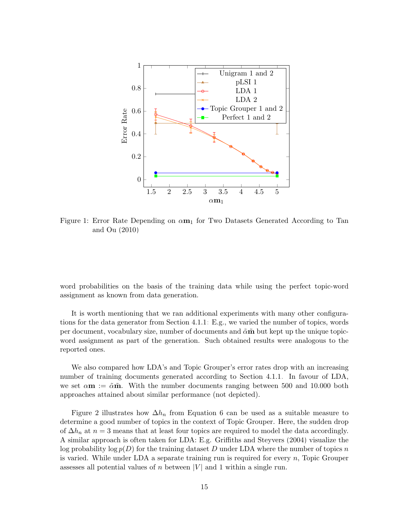

<span id="page-14-0"></span>Figure 1: Error Rate Depending on  $\alpha m_1$  for Two Datasets Generated According to [Tan](#page-39-5) [and Ou](#page-39-5) [\(2010\)](#page-39-5)

word probabilities on the basis of the training data while using the perfect topic-word assignment as known from data generation.

It is worth mentioning that we ran additional experiments with many other configurations for the data generator from Section [4.1.1:](#page-13-0) E.g., we varied the number of topics, words per document, vocabulary size, number of documents and  $\tilde{\alpha} \tilde{\mathbf{m}}$  but kept up the unique topicword assignment as part of the generation. Such obtained results were analogous to the reported ones.

We also compared how LDA's and Topic Grouper's error rates drop with an increasing number of training documents generated according to Section [4.1.1.](#page-13-0) In favour of LDA, we set  $\alpha$ **m** :=  $\tilde{\alpha}$ **m**. With the number documents ranging between 500 and 10.000 both approaches attained about similar performance (not depicted).

Figure [2](#page-15-0) illustrates how  $\Delta h_n$  from Equation [6](#page-10-2) can be used as a suitable measure to determine a good number of topics in the context of Topic Grouper. Here, the sudden drop of  $\Delta h_n$  at  $n=3$  means that at least four topics are required to model the data accordingly. A similar approach is often taken for LDA: E.g. [Griffiths and Steyvers](#page-36-1) [\(2004\)](#page-36-1) visualize the log probability log  $p(D)$  for the training dataset D under LDA where the number of topics n is varied. While under LDA a separate training run is required for every  $n$ , Topic Grouper assesses all potential values of n between |V| and 1 within a single run.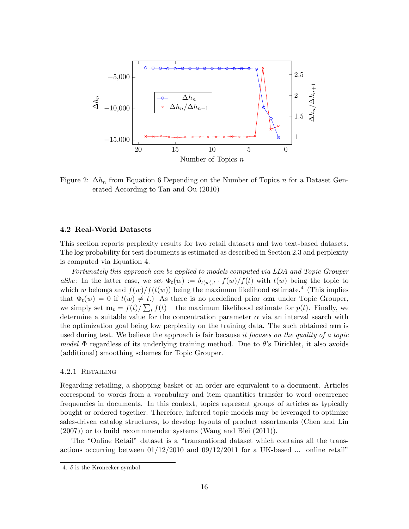

<span id="page-15-0"></span>Figure 2:  $\Delta h_n$  from Equation [6](#page-10-2) Depending on the Number of Topics n for a Dataset Generated According to [Tan and Ou](#page-39-5) [\(2010\)](#page-39-5)

## <span id="page-15-2"></span>4.2 Real-World Datasets

This section reports perplexity results for two retail datasets and two text-based datasets. The log probability for test documents is estimated as described in Section [2.3](#page-7-1) and perplexity is computed via Equation [4.](#page-7-2)

Fortunately this approach can be applied to models computed via LDA and Topic Grouper alike: In the latter case, we set  $\Phi_t(w) := \delta_{t(w),t} \cdot f(w)/f(t)$  with  $t(w)$  being the topic to which w belongs and  $f(w)/f(t(w))$  being the maximum likelihood estimate.<sup>[4](#page-15-1)</sup> (This implies that  $\Phi_t(w) = 0$  if  $t(w) \neq t$ .) As there is no predefined prior  $\alpha$ m under Topic Grouper, we simply set  $\mathbf{m}_t = f(t)/\sum_t f(t)$  – the maximum likelihood estimate for  $p(t)$ . Finally, we determine a suitable value for the concentration parameter  $\alpha$  via an interval search with the optimization goal being low perplexity on the training data. The such obtained  $\alpha$ m is used during test. We believe the approach is fair because *it focuses on the quality of a topic* model  $\Phi$  regardless of its underlying training method. Due to  $\theta$ 's Dirichlet, it also avoids (additional) smoothing schemes for Topic Grouper.

## 4.2.1 Retailing

Regarding retailing, a shopping basket or an order are equivalent to a document. Articles correspond to words from a vocabulary and item quantities transfer to word occurrence frequencies in documents. In this context, topics represent groups of articles as typically bought or ordered together. Therefore, inferred topic models may be leveraged to optimize sales-driven catalog structures, to develop layouts of product assortments [\(Chen and Lin](#page-36-7) [\(2007\)](#page-36-7)) or to build recommmender systems [\(Wang and Blei](#page-39-9) [\(2011\)](#page-39-9)).

The "Online Retail" dataset is a "transnational dataset which contains all the transactions occurring between  $01/12/2010$  and  $09/12/2011$  for a UK-based ... online retail"

<span id="page-15-1"></span><sup>4.</sup>  $\delta$  is the Kronecker symbol.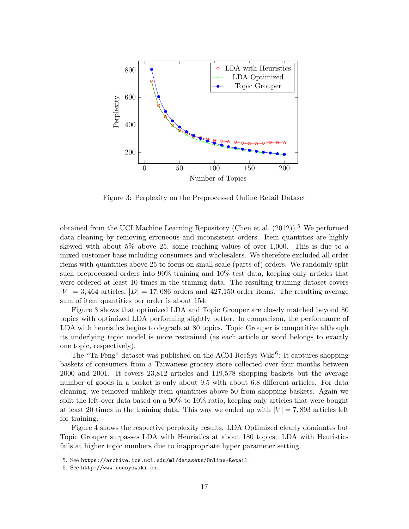

<span id="page-16-1"></span>Figure 3: Perplexity on the Preprocessed Online Retail Dataset

obtained from the UCI Machine Learning Repository [\(Chen et al.](#page-36-8)  $(2012)$ ).<sup>[5](#page-16-0)</sup> We performed data cleaning by removing erroneous and inconsistent orders. Item quantities are highly skewed with about 5% above 25, some reaching values of over 1,000. This is due to a mixed customer base including consumers and wholesalers. We therefore excluded all order items with quantities above 25 to focus on small scale (parts of) orders. We randomly split such preprocessed orders into 90% training and 10% test data, keeping only articles that were ordered at least 10 times in the training data. The resulting training dataset covers  $|V| = 3,464$  articles,  $|D| = 17,086$  orders and 427,150 order items. The resulting average sum of item quantities per order is about 154.

Figure [3](#page-16-1) shows that optimized LDA and Topic Grouper are closely matched beyond 80 topics with optimized LDA performing slightly better. In comparison, the performance of LDA with heuristics begins to degrade at 80 topics. Topic Grouper is competitive although its underlying topic model is more restrained (as each article or word belongs to exactly one topic, respectively).

The "Ta Feng" dataset was published on the ACM RecSys Wiki<sup>[6](#page-16-2)</sup>: It captures shopping baskets of consumers from a Taiwanese grocery store collected over four months between 2000 and 2001. It covers 23,812 articles and 119,578 shopping baskets but the average number of goods in a basket is only about 9.5 with about 6.8 different articles. For data cleaning, we removed unlikely item quantities above 50 from shopping baskets. Again we split the left-over data based on a 90% to 10% ratio, keeping only articles that were bought at least 20 times in the training data. This way we ended up with  $|V| = 7,893$  articles left for training.

Figure [4](#page-17-0) shows the respective perplexity results. LDA Optimized clearly dominates but Topic Grouper surpasses LDA with Heuristics at about 180 topics. LDA with Heuristics fails at higher topic numbers due to inappropriate hyper parameter setting.

<span id="page-16-0"></span><sup>5.</sup> See <https://archive.ics.uci.edu/ml/datasets/Online+Retail>.

<span id="page-16-2"></span><sup>6.</sup> See <http://www.recsyswiki.com>.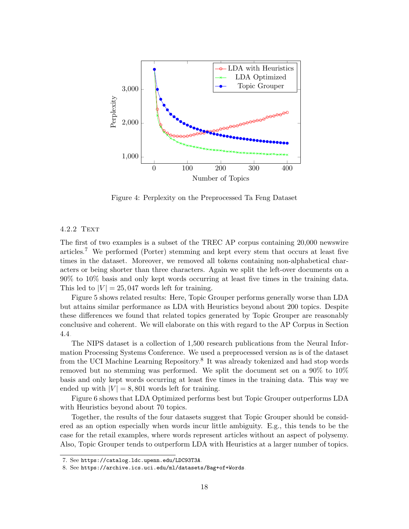

<span id="page-17-0"></span>Figure 4: Perplexity on the Preprocessed Ta Feng Dataset

## 4.2.2 Text

The first of two examples is a subset of the TREC AP corpus containing 20,000 newswire articles.[7](#page-17-1) We performed (Porter) stemming and kept every stem that occurs at least five times in the dataset. Moreover, we removed all tokens containing non-alphabetical characters or being shorter than three characters. Again we split the left-over documents on a 90% to 10% basis and only kept words occurring at least five times in the training data. This led to  $|V| = 25,047$  words left for training.

Figure [5](#page-18-0) shows related results: Here, Topic Grouper performs generally worse than LDA but attains similar performance as LDA with Heuristics beyond about 200 topics. Despite these differences we found that related topics generated by Topic Grouper are reasonably conclusive and coherent. We will elaborate on this with regard to the AP Corpus in Section [4.4.](#page-23-0)

The NIPS dataset is a collection of 1,500 research publications from the Neural Information Processing Systems Conference. We used a preprocessed version as is of the dataset from the UCI Machine Learning Repository.<sup>[8](#page-17-2)</sup> It was already tokenized and had stop words removed but no stemming was performed. We split the document set on a 90% to 10% basis and only kept words occurring at least five times in the training data. This way we ended up with  $|V| = 8,801$  words left for training.

Figure [6](#page-18-1) shows that LDA Optimized performs best but Topic Grouper outperforms LDA with Heuristics beyond about 70 topics.

Together, the results of the four datasets suggest that Topic Grouper should be considered as an option especially when words incur little ambiguity. E.g., this tends to be the case for the retail examples, where words represent articles without an aspect of polysemy. Also, Topic Grouper tends to outperform LDA with Heuristics at a larger number of topics.

<span id="page-17-1"></span><sup>7.</sup> See <https://catalog.ldc.upenn.edu/LDC93T3A>.

<span id="page-17-2"></span><sup>8.</sup> See <https://archive.ics.uci.edu/ml/datasets/Bag+of+Words>.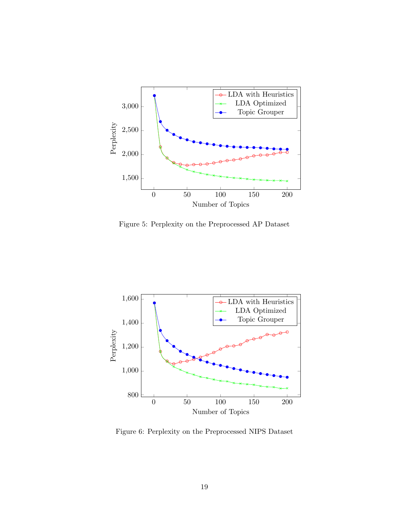

<span id="page-18-0"></span>Figure 5: Perplexity on the Preprocessed AP Dataset



<span id="page-18-1"></span>Figure 6: Perplexity on the Preprocessed NIPS Dataset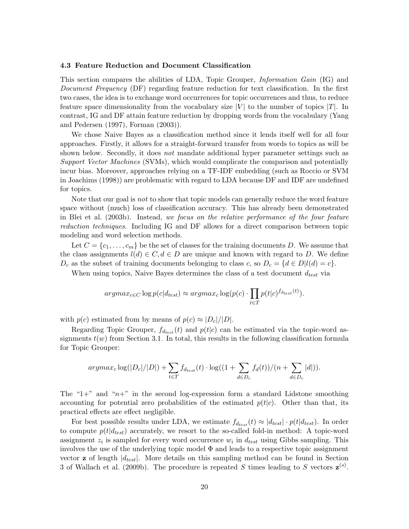## <span id="page-19-0"></span>4.3 Feature Reduction and Document Classification

This section compares the abilities of LDA, Topic Grouper, Information Gain (IG) and Document Frequency (DF) regarding feature reduction for text classification. In the first two cases, the idea is to exchange word occurrences for topic occurrences and thus, to reduce feature space dimensionality from the vocabulary size  $|V|$  to the number of topics  $|T|$ . In contrast, IG and DF attain feature reduction by dropping words from the vocabulary [\(Yang](#page-40-0) [and Pedersen](#page-40-0) [\(1997\)](#page-40-0), [Forman](#page-36-9) [\(2003\)](#page-36-9)).

We chose Naive Bayes as a classification method since it lends itself well for all four approaches. Firstly, it allows for a straight-forward transfer from words to topics as will be shown below. Secondly, it does *not* mandate additional hyper parameter settings such as Support Vector Machines (SVMs), which would complicate the comparison and potentially incur bias. Moreover, approaches relying on a TF-IDF embedding (such as Roccio or SVM in [Joachims](#page-37-9) [\(1998\)](#page-37-9)) are problematic with regard to LDA because DF and IDF are undefined for topics.

Note that our goal is not to show that topic models can generally reduce the word feature space without (much) loss of classification accuracy. This has already been demonstrated in [Blei et al.](#page-35-0) [\(2003b\)](#page-35-0). Instead, we focus on the relative performance of the four feature reduction techniques. Including IG and DF allows for a direct comparison between topic modeling and word selection methods.

Let  $C = \{c_1, \ldots, c_m\}$  be the set of classes for the training documents D. We assume that the class assignments  $l(d) \in C, d \in D$  are unique and known with regard to D. We define  $D_c$  as the subset of training documents belonging to class c, so  $D_c = \{d \in D | l(d) = c\}.$ 

When using topics, Naive Bayes determines the class of a test document  $d_{test}$  via

$$
argmax_{c \in C} \log p(c|d_{test}) \approx argmax_c \log(p(c) \cdot \prod_{t \in T} p(t|c)^{f_{d_{test}}(t)}).
$$

with  $p(c)$  estimated from by means of  $p(c) \approx |D_c|/|D|$ .

Regarding Topic Grouper,  $f_{d_{test}}(t)$  and  $p(t|c)$  can be estimated via the topic-word assignments  $t(w)$  from Section [3.1.](#page-9-1) In total, this results in the following classification formula for Topic Grouper:

$$
argmax_{c} \log(|D_{c}|/|D|) + \sum_{t \in T} f_{d_{test}}(t) \cdot \log((1 + \sum_{d \in D_{c}} f_{d}(t))/(n + \sum_{d \in D_{c}} |d|)).
$$

The "1+" and " $n+$ " in the second log-expression form a standard Lidstone smoothing accounting for potential zero probabilities of the estimated  $p(t|c)$ . Other than that, its practical effects are effect negligible.

For best possible results under LDA, we estimate  $f_{d_{test}}(t) \approx |d_{test}| \cdot p(t|d_{test})$ . In order to compute  $p(t|d_{test})$  accurately, we resort to the so-called fold-in method: A topic-word assignment  $z_i$  is sampled for every word occurrence  $w_i$  in  $d_{test}$  using Gibbs sampling. This involves the use of the underlying topic model Φ and leads to a respective topic assignment vector  $z$  of length  $|d_{test}|$ . More details on this sampling method can be found in Section 3 of [Wallach et al.](#page-39-8) [\(2009b\)](#page-39-8). The procedure is repeated S times leading to S vectors  $\mathbf{z}^{(s)}$ .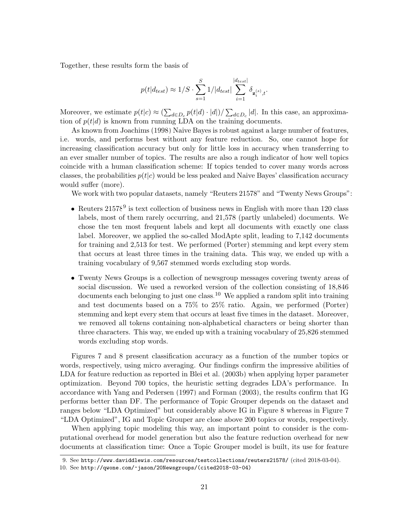Together, these results form the basis of

$$
p(t|d_{test}) \approx 1/S \cdot \sum_{s=1}^{S} 1/|d_{test}| \sum_{i=1}^{|d_{test}|} \delta_{\mathbf{z}_{i}^{(s)},t}.
$$

Moreover, we estimate  $p(t|c) \approx (\sum_{d \in D_c} p(t|d) \cdot |d|)/\sum_{d \in D_c} |d|$ . In this case, an approximation of  $p(t|d)$  is known from running LDA on the training documents.

As known from [Joachims](#page-37-9) [\(1998\)](#page-37-9) Naive Bayes is robust against a large number of features, i.e. words, and performs best without any feature reduction. So, one cannot hope for increasing classification accuracy but only for little loss in accuracy when transferring to an ever smaller number of topics. The results are also a rough indicator of how well topics coincide with a human classification scheme: If topics tended to cover many words across classes, the probabilities  $p(t|c)$  would be less peaked and Naive Bayes' classification accuracy would suffer (more).

We work with two popular datasets, namely "Reuters 21578" and "Twenty News Groups":

- Reuters  $21578<sup>9</sup>$  $21578<sup>9</sup>$  $21578<sup>9</sup>$  is text collection of business news in English with more than 120 class labels, most of them rarely occurring, and 21,578 (partly unlabeled) documents. We chose the ten most frequent labels and kept all documents with exactly one class label. Moreover, we applied the so-called ModApte split, leading to 7,142 documents for training and 2,513 for test. We performed (Porter) stemming and kept every stem that occurs at least three times in the training data. This way, we ended up with a training vocabulary of 9,567 stemmed words excluding stop words.
- Twenty News Groups is a collection of newsgroup messages covering twenty areas of social discussion. We used a reworked version of the collection consisting of 18,846  $\alpha$  documents each belonging to just one class.<sup>[10](#page-20-1)</sup> We applied a random split into training and test documents based on a 75% to 25% ratio. Again, we performed (Porter) stemming and kept every stem that occurs at least five times in the dataset. Moreover, we removed all tokens containing non-alphabetical characters or being shorter than three characters. This way, we ended up with a training vocabulary of 25,826 stemmed words excluding stop words.

Figures [7](#page-21-0) and [8](#page-22-0) present classification accuracy as a function of the number topics or words, respectively, using micro averaging. Our findings confirm the impressive abilities of LDA for feature reduction as reported in [Blei et al.](#page-35-0) [\(2003b\)](#page-35-0) when applying hyper parameter optimization. Beyond 700 topics, the heuristic setting degrades LDA's performance. In accordance with [Yang and Pedersen](#page-40-0) [\(1997\)](#page-40-0) and [Forman](#page-36-9) [\(2003\)](#page-36-9), the results confirm that IG performs better than DF. The performance of Topic Grouper depends on the dataset and ranges below "LDA Optimized" but considerably above IG in Figure [8](#page-22-0) whereas in Figure [7](#page-21-0) "LDA Optimized", IG and Topic Grouper are close above 200 topics or words, respectively.

When applying topic modeling this way, an important point to consider is the computational overhead for model generation but also the feature reduction overhead for new documents at classification time: Once a Topic Grouper model is built, its use for feature

<span id="page-20-0"></span><sup>9.</sup> See <http://www.daviddlewis.com/resources/testcollections/reuters21578/> (cited 2018-03-04).

<span id="page-20-1"></span><sup>10.</sup> See [http://qwone.com/~jason/20Newsgroups/\(cited2018-03-04\)](http://qwone.com/~jason/20Newsgroups/ (cited 2018-03-04)).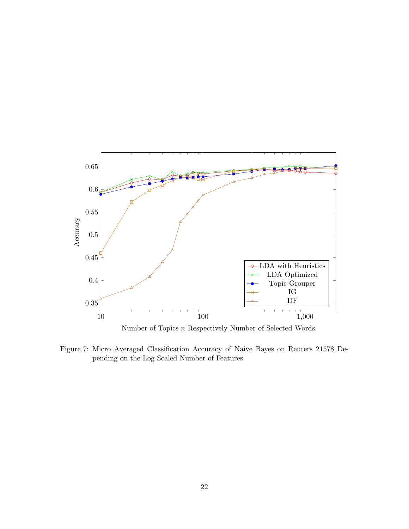

<span id="page-21-0"></span>Figure 7: Micro Averaged Classification Accuracy of Naive Bayes on Reuters 21578 Depending on the Log Scaled Number of Features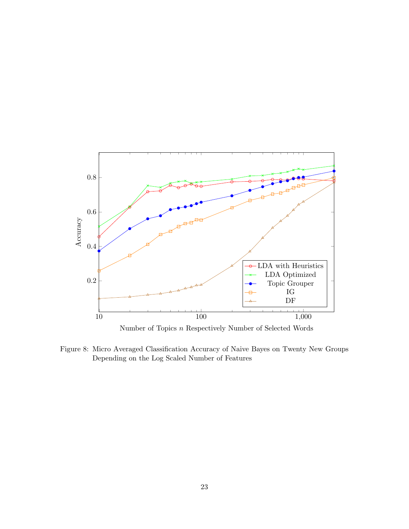

Number of Topics n Respectively Number of Selected Words

<span id="page-22-0"></span>Figure 8: Micro Averaged Classification Accuracy of Naive Bayes on Twenty New Groups Depending on the Log Scaled Number of Features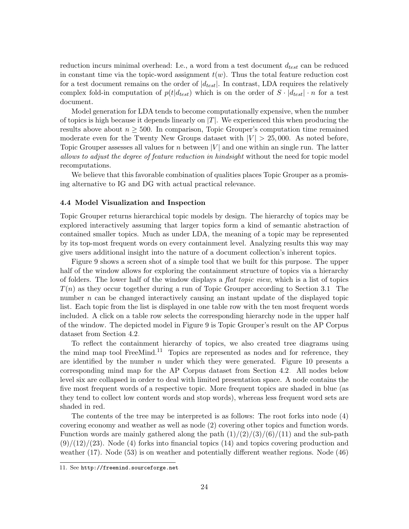reduction incurs minimal overhead: I.e., a word from a test document  $d_{test}$  can be reduced in constant time via the topic-word assignment  $t(w)$ . Thus the total feature reduction cost for a test document remains on the order of  $|d_{test}|$ . In contrast, LDA requires the relatively complex fold-in computation of  $p(t|d_{test})$  which is on the order of  $S \cdot |d_{test}| \cdot n$  for a test document.

Model generation for LDA tends to become computationally expensive, when the number of topics is high because it depends linearly on  $|T|$ . We experienced this when producing the results above about  $n > 500$ . In comparison, Topic Grouper's computation time remained moderate even for the Twenty New Groups dataset with  $|V| > 25,000$ . As noted before, Topic Grouper assesses all values for n between  $|V|$  and one within an single run. The latter allows to adjust the degree of feature reduction in hindsight without the need for topic model recomputations.

We believe that this favorable combination of qualities places Topic Grouper as a promising alternative to IG and DG with actual practical relevance.

## <span id="page-23-0"></span>4.4 Model Visualization and Inspection

Topic Grouper returns hierarchical topic models by design. The hierarchy of topics may be explored interactively assuming that larger topics form a kind of semantic abstraction of contained smaller topics. Much as under LDA, the meaning of a topic may be represented by its top-most frequent words on every containment level. Analyzing results this way may give users additional insight into the nature of a document collection's inherent topics.

Figure [9](#page-24-0) shows a screen shot of a simple tool that we built for this purpose. The upper half of the window allows for exploring the containment structure of topics via a hierarchy of folders. The lower half of the window displays a flat topic view, which is a list of topics  $T(n)$  as they occur together during a run of Topic Grouper according to Section [3.1.](#page-9-1) The number  $n$  can be changed interactively causing an instant update of the displayed topic list. Each topic from the list is displayed in one table row with the ten most frequent words included. A click on a table row selects the corresponding hierarchy node in the upper half of the window. The depicted model in Figure [9](#page-24-0) is Topic Grouper's result on the AP Corpus dataset from Section [4.2.](#page-15-2)

To reflect the containment hierarchy of topics, we also created tree diagrams using the mind map tool FreeMind.<sup>[11](#page-23-1)</sup> Topics are represented as nodes and for reference, they are identified by the number  $n$  under which they were generated. Figure [10](#page-25-1) presents a corresponding mind map for the AP Corpus dataset from Section [4.2.](#page-15-2) All nodes below level six are collapsed in order to deal with limited presentation space. A node contains the five most frequent words of a respective topic. More frequent topics are shaded in blue (as they tend to collect low content words and stop words), whereas less frequent word sets are shaded in red.

The contents of the tree may be interpreted is as follows: The root forks into node (4) covering economy and weather as well as node (2) covering other topics and function words. Function words are mainly gathered along the path  $\frac{1}{2}$ (3)/(6)/(11) and the sub-path  $(9)/(12)/(23)$ . Node (4) forks into financial topics (14) and topics covering production and weather (17). Node (53) is on weather and potentially different weather regions. Node (46)

<span id="page-23-1"></span><sup>11.</sup> See <http://freemind.sourceforge.net>.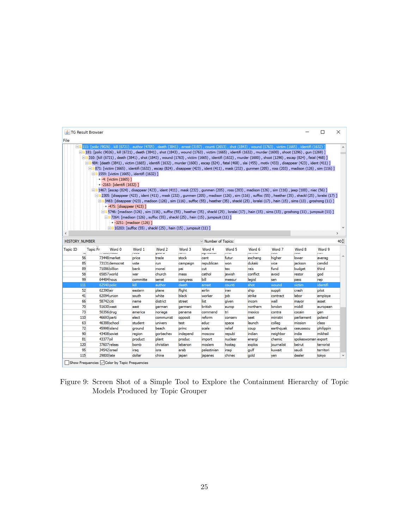|                                                                                                                                                                                                                                                                                                                                                                                                                                                                                                                                                                                                                                                                                                                                                                                                                                                                                                                                                                                                                                                                                                                                                                                                                                                                                                                                                                                                                                                                                                                                                                                                                                                                                              |     | <b>S</b> TG Result Browser           |                |                 |                 |                        |                    |                    |                 |                        |                    | □                     | ×                   |
|----------------------------------------------------------------------------------------------------------------------------------------------------------------------------------------------------------------------------------------------------------------------------------------------------------------------------------------------------------------------------------------------------------------------------------------------------------------------------------------------------------------------------------------------------------------------------------------------------------------------------------------------------------------------------------------------------------------------------------------------------------------------------------------------------------------------------------------------------------------------------------------------------------------------------------------------------------------------------------------------------------------------------------------------------------------------------------------------------------------------------------------------------------------------------------------------------------------------------------------------------------------------------------------------------------------------------------------------------------------------------------------------------------------------------------------------------------------------------------------------------------------------------------------------------------------------------------------------------------------------------------------------------------------------------------------------|-----|--------------------------------------|----------------|-----------------|-----------------|------------------------|--------------------|--------------------|-----------------|------------------------|--------------------|-----------------------|---------------------|
| File                                                                                                                                                                                                                                                                                                                                                                                                                                                                                                                                                                                                                                                                                                                                                                                                                                                                                                                                                                                                                                                                                                                                                                                                                                                                                                                                                                                                                                                                                                                                                                                                                                                                                         |     |                                      |                |                 |                 |                        |                    |                    |                 |                        |                    |                       |                     |
| □□11: [polic (9026) , kill (6721) , author (4705) , death (3841) , arrest (3197) , counti (2653) , shot (1843) , wound (1763) , victim (1665) , identifi (1632) `<br>□■181: [polic (9026) , kill (6721) , death (3841) , shot (1843) , wound (1763) , victim (1665) , identifi (1632) , murder (1600) , shoot (1296) , gun (1269) ]<br>□■310: [kill (6721) , death (3841) , shot (1843) , wound (1763) , victim (1665) , identifi (1632) , murder (1600) , shoot (1296) , escap (824) , fatal (468) ]<br>□■484: [death (3841) , victim (1665) , identifi (1632) , murder (1600) , escap (824) , fatal (468) , slai (455) , motiv (433) , disappear (423) , ident (411) ]<br>[ 811: [victim (1665) , identifi (1632) , escap (824) , disappear (423) , ident (411) , mask (232) , gunmen (205) , ross (203) , madison (126) , sim (116) ] و B71: [victim (1665) , identifi (1632) , escap (824) , disappea<br>$-$ 1559: [victim (1665), identifi (1632)]<br>$\bullet$ -4: [victim (1665)]<br>-• -2163: [identifi (1632) ]<br>[56] Internation (824), disappear (423), ident (411), mask (232), gunmen (205), ross (203), madison (126), sim (116), jeep (100), niec (56)<br>□■2305: [disappear (423) , ident (411) , mask (232) , gunmen (205) , madison (126) , sim (116) , suffoc (55) , heather (35) , shackl (25) , loralei (17) ]<br>[11] 3483: [disappear (423) , madison (126) , sim (116) , suffoc (55) , heather (35) , shackl (25) , loralei (17) , hain (15) , sims (13) , groshong (11) ]<br>• -475: [disappear (423) ]<br>□■5746: [madison (126) , sim (116) , suffoc (55) , heather (35) , shackl (25) , loralei (17) , hain (15) , sims (13) , groshong (11) , jumpsuit (11) ] |     |                                      |                |                 |                 |                        |                    |                    |                 |                        |                    |                       |                     |
| $\Box$ 7264: [madison (126), suffoc (55), shackl (25), hain (15), jumpsuit (11)]<br>• -3251: [madison (126) ]<br>$-$ 10203: [suffoc (55), shackl (25), hain (15), jumpsuit (11)]<br>$\rightarrow$<br><b>HISTORY NUMBER</b><br>$\vee$ Number of Topics:                                                                                                                                                                                                                                                                                                                                                                                                                                                                                                                                                                                                                                                                                                                                                                                                                                                                                                                                                                                                                                                                                                                                                                                                                                                                                                                                                                                                                                       |     |                                      |                |                 |                 |                        |                    |                    |                 |                        | $40 -$             |                       |                     |
| <b>Topic ID</b>                                                                                                                                                                                                                                                                                                                                                                                                                                                                                                                                                                                                                                                                                                                                                                                                                                                                                                                                                                                                                                                                                                                                                                                                                                                                                                                                                                                                                                                                                                                                                                                                                                                                              |     | <b>Topic Fr</b><br>riz orosi ee uusu | Word 0         | Word 1<br>issu. | Word 2<br>guuru | Word 3<br><b>Santa</b> | Word 4<br>agricumu | Word 5<br>i i visi | Word 6<br>na ma | Word 7<br><b>Color</b> | Word 8<br>ivul.    | Word 9<br><b>COLL</b> |                     |
|                                                                                                                                                                                                                                                                                                                                                                                                                                                                                                                                                                                                                                                                                                                                                                                                                                                                                                                                                                                                                                                                                                                                                                                                                                                                                                                                                                                                                                                                                                                                                                                                                                                                                              | 56  |                                      | 73448 market   | price           | trade           | stock                  | cent               | futur              | exchang         | higher                 | lower              | averag                | $\hat{\phantom{a}}$ |
|                                                                                                                                                                                                                                                                                                                                                                                                                                                                                                                                                                                                                                                                                                                                                                                                                                                                                                                                                                                                                                                                                                                                                                                                                                                                                                                                                                                                                                                                                                                                                                                                                                                                                              | 85  |                                      | 73131 democrat | vote            | run             | campaign               | republican         | won                | dukaki          | vice                   | jackson            | candid                |                     |
|                                                                                                                                                                                                                                                                                                                                                                                                                                                                                                                                                                                                                                                                                                                                                                                                                                                                                                                                                                                                                                                                                                                                                                                                                                                                                                                                                                                                                                                                                                                                                                                                                                                                                              | 89  | 71086 billion                        |                | bank            | monei           | pai                    | cut                | tax                | rais            | fund                   | budget             | third                 |                     |
|                                                                                                                                                                                                                                                                                                                                                                                                                                                                                                                                                                                                                                                                                                                                                                                                                                                                                                                                                                                                                                                                                                                                                                                                                                                                                                                                                                                                                                                                                                                                                                                                                                                                                              | 58  | 65857 world                          |                | war             | church          | mass                   | cathol             | jewish             | conflict        | avoid                  | restor             | aod                   |                     |
|                                                                                                                                                                                                                                                                                                                                                                                                                                                                                                                                                                                                                                                                                                                                                                                                                                                                                                                                                                                                                                                                                                                                                                                                                                                                                                                                                                                                                                                                                                                                                                                                                                                                                              | 99  | 64484 hous                           |                | committe        | senat           | congress               | bill               | measur             | legisl          | sen                    | pass               | rep                   |                     |
|                                                                                                                                                                                                                                                                                                                                                                                                                                                                                                                                                                                                                                                                                                                                                                                                                                                                                                                                                                                                                                                                                                                                                                                                                                                                                                                                                                                                                                                                                                                                                                                                                                                                                              | 111 | 62540 polic                          |                | kill            | author          | death                  | arrest             | counti             | shot            | wound                  | victim             | identifi              |                     |
|                                                                                                                                                                                                                                                                                                                                                                                                                                                                                                                                                                                                                                                                                                                                                                                                                                                                                                                                                                                                                                                                                                                                                                                                                                                                                                                                                                                                                                                                                                                                                                                                                                                                                              | 52  | 62390 air                            |                | eastern         | plane           | flight                 | airlin             | iran               | ship            | suppli                 | crash              | pilot                 |                     |
|                                                                                                                                                                                                                                                                                                                                                                                                                                                                                                                                                                                                                                                                                                                                                                                                                                                                                                                                                                                                                                                                                                                                                                                                                                                                                                                                                                                                                                                                                                                                                                                                                                                                                              | 41  | 62094 union                          |                | south           | white           | black                  | worker             | iob                | strike          | contract               | llabor             | employe               |                     |
|                                                                                                                                                                                                                                                                                                                                                                                                                                                                                                                                                                                                                                                                                                                                                                                                                                                                                                                                                                                                                                                                                                                                                                                                                                                                                                                                                                                                                                                                                                                                                                                                                                                                                              | 66  | 58742 citi                           |                | name            | district        | street                 | list               | aiven              | incom           | wall                   | mayor              | asset                 |                     |
|                                                                                                                                                                                                                                                                                                                                                                                                                                                                                                                                                                                                                                                                                                                                                                                                                                                                                                                                                                                                                                                                                                                                                                                                                                                                                                                                                                                                                                                                                                                                                                                                                                                                                              | 70  | 51630 west                           |                | east            | german          | germani                | british            | europ              | northern        | london                 | middl              | european              |                     |
|                                                                                                                                                                                                                                                                                                                                                                                                                                                                                                                                                                                                                                                                                                                                                                                                                                                                                                                                                                                                                                                                                                                                                                                                                                                                                                                                                                                                                                                                                                                                                                                                                                                                                              | 73  | 50356 drug                           |                | america         | noriega         | panama                 | command            | tri                | mexico          | contra                 | cocain             | gen                   |                     |
|                                                                                                                                                                                                                                                                                                                                                                                                                                                                                                                                                                                                                                                                                                                                                                                                                                                                                                                                                                                                                                                                                                                                                                                                                                                                                                                                                                                                                                                                                                                                                                                                                                                                                              | 110 | 46693 parti                          |                | elect           | communist       | opposit                | reform             | conserv            | seat            | ministri               | parliament         | poland                |                     |
|                                                                                                                                                                                                                                                                                                                                                                                                                                                                                                                                                                                                                                                                                                                                                                                                                                                                                                                                                                                                                                                                                                                                                                                                                                                                                                                                                                                                                                                                                                                                                                                                                                                                                              | 63  |                                      | 46388 school   | student         | univers         | test                   | educ               | space              | launch          | colleg                 | mission            | class                 |                     |
|                                                                                                                                                                                                                                                                                                                                                                                                                                                                                                                                                                                                                                                                                                                                                                                                                                                                                                                                                                                                                                                                                                                                                                                                                                                                                                                                                                                                                                                                                                                                                                                                                                                                                              | 72  | 45998 island                         |                | around          | beach           | princ                  | scale              | relief             | coup            | earthquak              | ceausescu          | philippin             |                     |
|                                                                                                                                                                                                                                                                                                                                                                                                                                                                                                                                                                                                                                                                                                                                                                                                                                                                                                                                                                                                                                                                                                                                                                                                                                                                                                                                                                                                                                                                                                                                                                                                                                                                                              | 90  | 43408 soviet                         |                | region          | gorbachev       | independ               | moscow             | republ             | indian          | neighbor               | india              | mikhail               |                     |
|                                                                                                                                                                                                                                                                                                                                                                                                                                                                                                                                                                                                                                                                                                                                                                                                                                                                                                                                                                                                                                                                                                                                                                                                                                                                                                                                                                                                                                                                                                                                                                                                                                                                                              | 81  | 43377 oil                            |                | product         | plant           | produc                 | import             | nuclear            | energi          | chemic                 | spokeswoman export |                       |                     |
|                                                                                                                                                                                                                                                                                                                                                                                                                                                                                                                                                                                                                                                                                                                                                                                                                                                                                                                                                                                                                                                                                                                                                                                                                                                                                                                                                                                                                                                                                                                                                                                                                                                                                              | 120 | 37607 releas                         |                | bomb            | christian       | lebanon                | moslem             | hostag             | explos          | journalist             | beirut             | terrorist             |                     |
|                                                                                                                                                                                                                                                                                                                                                                                                                                                                                                                                                                                                                                                                                                                                                                                                                                                                                                                                                                                                                                                                                                                                                                                                                                                                                                                                                                                                                                                                                                                                                                                                                                                                                              | 95  | 34542 israel                         |                | iraq            | isra            | arab                   | palestinian        | iragi              | qulf            | kuwait                 | saudi              | territori             |                     |
|                                                                                                                                                                                                                                                                                                                                                                                                                                                                                                                                                                                                                                                                                                                                                                                                                                                                                                                                                                                                                                                                                                                                                                                                                                                                                                                                                                                                                                                                                                                                                                                                                                                                                              | 115 | 29800 late                           |                | dollar          | china           | japan                  | japanes            | chines             | gold            | ven                    | dealer             | tokvo                 | $\checkmark$        |
| Show Frequencies $\sqrt{\phantom{a}}$ Color by Topic Frequencies                                                                                                                                                                                                                                                                                                                                                                                                                                                                                                                                                                                                                                                                                                                                                                                                                                                                                                                                                                                                                                                                                                                                                                                                                                                                                                                                                                                                                                                                                                                                                                                                                             |     |                                      |                |                 |                 |                        |                    |                    |                 |                        |                    |                       |                     |

<span id="page-24-0"></span>Figure 9: Screen Shot of a Simple Tool to Explore the Containment Hierarchy of Topic Models Produced by Topic Grouper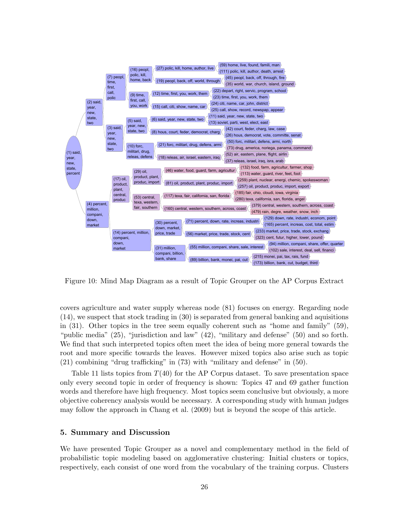

<span id="page-25-1"></span>Figure 10: Mind Map Diagram as a result of Topic Grouper on the AP Corpus Extract

covers agriculture and water supply whereas node (81) focuses on energy. Regarding node (14), we suspect that stock trading in (30) is separated from general banking and aquisitions in (31). Other topics in the tree seem equally coherent such as "home and family" (59), "public media" (25), "jurisdiction and law" (42), "military and defense" (50) and so forth. We find that such interpreted topics often meet the idea of being more general towards the root and more specific towards the leaves. However mixed topics also arise such as topic (21) combining "drug trafficking" in (73) with "military and defense" in (50).

Table [11](#page-26-0) lists topics from  $T(40)$  for the AP Corpus dataset. To save presentation space only every second topic in order of frequency is shown: Topics 47 and 69 gather function words and therefore have high frequency. Most topics seem conclusive but obviously, a more objective coherency analysis would be necessary. A corresponding study with human judges may follow the approach in [Chang et al.](#page-35-8) [\(2009\)](#page-35-8) but is beyond the scope of this article.

## <span id="page-25-0"></span>5. Summary and Discussion

We have presented Topic Grouper as a novel and complementary method in the field of probabilistic topic modeling based on agglomerative clustering: Initial clusters or topics, respectively, each consist of one word from the vocabulary of the training corpus. Clusters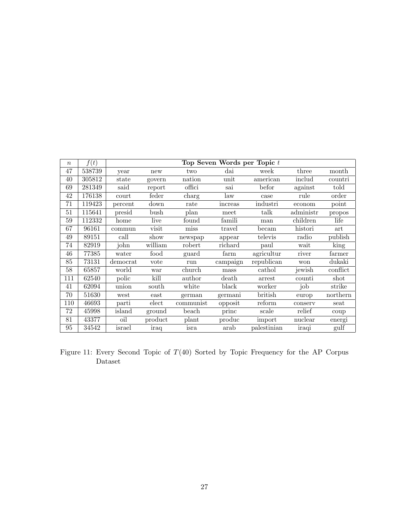| $\,n$ | f(t)   | Top Seven Words per Topic t |         |           |              |             |           |                          |  |  |  |  |
|-------|--------|-----------------------------|---------|-----------|--------------|-------------|-----------|--------------------------|--|--|--|--|
| 47    | 538739 | new<br>year                 |         | two       | $_{\rm dai}$ | week        | three     | month                    |  |  |  |  |
| 40    | 305812 | state                       | govern  | nation    | unit         | american    | includ    | $\operatorname{countri}$ |  |  |  |  |
| 69    | 281349 | said                        | report  | offici    | sai          | befor       | against   | told                     |  |  |  |  |
| 42    | 176138 | court                       | feder   | charg     | law          | case        | rule      | order                    |  |  |  |  |
| 71    | 119423 | percent                     | down    | rate      | increas      | industri    | econom    | point                    |  |  |  |  |
| 51    | 115641 | presid                      | bush    | plan      | meet         | talk        | administr | propos                   |  |  |  |  |
| 59    | 112332 | home                        | live    | found     | famili       | man         | children  | life                     |  |  |  |  |
| 67    | 96161  | commun                      | visit   | miss      | travel       | becam       | histori   | art                      |  |  |  |  |
| 49    | 89151  | call                        | show    | newspap   | appear       | televis     | radio     | publish                  |  |  |  |  |
| 74    | 82919  | john                        | william | robert    | richard      | paul        | wait      | king                     |  |  |  |  |
| 46    | 77385  | water                       | food    | guard     | farm         | agricultur  | river     | farmer                   |  |  |  |  |
| 85    | 73131  | democrat                    | vote    | run       | campaign     | republican  | won       | dukaki                   |  |  |  |  |
| 58    | 65857  | world                       | war     | church    | mass         | cathol      | jewish    | conflict                 |  |  |  |  |
| 111   | 62540  | polic                       | kill    | author    | death        | arrest      | counti    | shot                     |  |  |  |  |
| 41    | 62094  | union                       | south   | white     | black        | worker      | job       | strike                   |  |  |  |  |
| 70    | 51630  | west                        | east    | german    | germani      | british     | europ     | northern                 |  |  |  |  |
| 110   | 46693  | parti                       | elect   | communist | opposit      | reform      | conserv   | seat                     |  |  |  |  |
| 72    | 45998  | island                      | ground  | beach     | princ        | scale       | relief    | coup                     |  |  |  |  |
| 81    | 43377  | oil                         | product | plant     | produc       | import      | nuclear   | energi                   |  |  |  |  |
| 95    | 34542  | israel                      | iraq    | isra      | arab         | palestinian | iraqi     | gulf                     |  |  |  |  |

<span id="page-26-0"></span>Figure 11: Every Second Topic of  $T(40)$  Sorted by Topic Frequency for the AP Corpus Dataset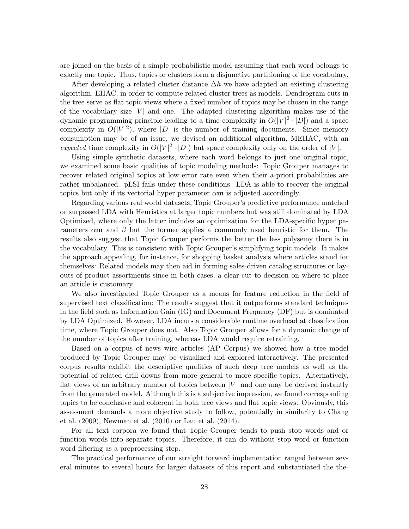are joined on the basis of a simple probabilistic model assuming that each word belongs to exactly one topic. Thus, topics or clusters form a disjunctive partitioning of the vocabulary.

After developing a related cluster distance  $\Delta h$  we have adapted an existing clustering algorithm, EHAC, in order to compute related cluster trees as models. Dendrogram cuts in the tree serve as flat topic views where a fixed number of topics may be chosen in the range of the vocabulary size  $|V|$  and one. The adapted clustering algorithm makes use of the dynamic programming principle leading to a time complexity in  $O(|V|^2 \cdot |D|)$  and a space complexity in  $O(|V|^2)$ , where |D| is the number of training documents. Since memory consumption may be of an issue, we devised an additional algorithm, MEHAC, with an expected time complexity in  $O(|V|^2 \cdot |D|)$  but space complexity only on the order of |V|.

Using simple synthetic datasets, where each word belongs to just one original topic, we examined some basic qualities of topic modeling methods: Topic Grouper manages to recover related original topics at low error rate even when their a-priori probabilities are rather unbalanced. pLSI fails under these conditions. LDA is able to recover the original topics but only if its vectorial hyper parameter  $\alpha$ m is adjusted accordingly.

Regarding various real world datasets, Topic Grouper's predictive performance matched or surpassed LDA with Heuristics at larger topic numbers but was still dominated by LDA Optimized, where only the latter includes an optimization for the LDA-specific hyper parameters  $\alpha$ **m** and  $\beta$  but the former applies a commonly used heuristic for them. The results also suggest that Topic Grouper performs the better the less polysemy there is in the vocabulary. This is consistent with Topic Grouper's simplifying topic models. It makes the approach appealing, for instance, for shopping basket analysis where articles stand for themselves: Related models may then aid in forming sales-driven catalog structures or layouts of product assortments since in both cases, a clear-cut to decision on where to place an article is customary.

We also investigated Topic Grouper as a means for feature reduction in the field of supervised text classification: The results suggest that it outperforms standard techniques in the field such as Information Gain (IG) and Document Frequency (DF) but is dominated by LDA Optimized. However, LDA incurs a considerable runtime overhead at classification time, where Topic Grouper does not. Also Topic Grouper allows for a dynamic change of the number of topics after training, whereas LDA would require retraining.

Based on a corpus of news wire articles (AP Corpus) we showed how a tree model produced by Topic Grouper may be visualized and explored interactively. The presented corpus results exhibit the descriptive qualities of such deep tree models as well as the potential of related drill downs from more general to more specific topics. Alternatively, flat views of an arbitrary number of topics between  $|V|$  and one may be derived instantly from the generated model. Although this is a subjective impression, we found corresponding topics to be conclusive and coherent in both tree views and flat topic views. Obviously, this assessment demands a more objective study to follow, potentially in similarity to [Chang](#page-35-8) [et al.](#page-35-8) [\(2009\)](#page-35-8), [Newman et al.](#page-38-9) [\(2010\)](#page-38-9) or [Lau et al.](#page-37-8) [\(2014\)](#page-37-8).

For all text corpora we found that Topic Grouper tends to push stop words and or function words into separate topics. Therefore, it can do without stop word or function word filtering as a preprocessing step.

The practical performance of our straight forward implementation ranged between several minutes to several hours for larger datasets of this report and substantiated the the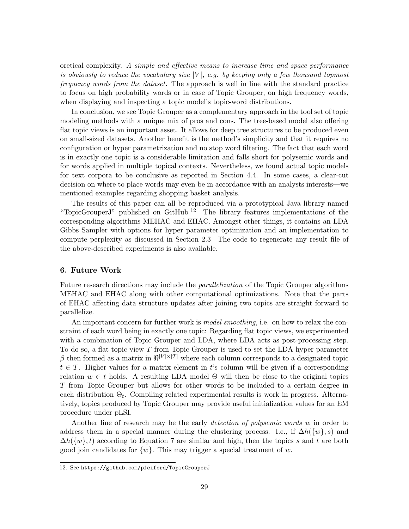oretical complexity. A simple and effective means to increase time and space performance is obviously to reduce the vocabulary size  $|V|$ , e.g. by keeping only a few thousand topmost frequency words from the dataset. The approach is well in line with the standard practice to focus on high probability words or in case of Topic Grouper, on high frequency words, when displaying and inspecting a topic model's topic-word distributions.

In conclusion, we see Topic Grouper as a complementary approach in the tool set of topic modeling methods with a unique mix of pros and cons. The tree-based model also offering flat topic views is an important asset. It allows for deep tree structures to be produced even on small-sized datasets. Another benefit is the method's simplicity and that it requires no configuration or hyper parametrization and no stop word filtering. The fact that each word is in exactly one topic is a considerable limitation and falls short for polysemic words and for words applied in multiple topical contexts. Nevertheless, we found actual topic models for text corpora to be conclusive as reported in Section [4.4.](#page-23-0) In some cases, a clear-cut decision on where to place words may even be in accordance with an analysts interests—we mentioned examples regarding shopping basket analysis.

The results of this paper can all be reproduced via a prototypical Java library named "TopicGrouperJ" published on  $G$ itHub.<sup>[12](#page-28-1)</sup> The library features implementations of the corresponding algorithms MEHAC and EHAC. Amongst other things, it contains an LDA Gibbs Sampler with options for hyper parameter optimization and an implementation to compute perplexity as discussed in Section [2.3.](#page-7-1) The code to regenerate any result file of the above-described experiments is also available.

## <span id="page-28-0"></span>6. Future Work

Future research directions may include the *parallelization* of the Topic Grouper algorithms MEHAC and EHAC along with other computational optimizations. Note that the parts of EHAC affecting data structure updates after joining two topics are straight forward to parallelize.

An important concern for further work is *model smoothing*, i.e. on how to relax the constraint of each word being in exactly one topic: Regarding flat topic views, we experimented with a combination of Topic Grouper and LDA, where LDA acts as post-processing step. To do so, a flat topic view  $T$  from Topic Grouper is used to set the LDA hyper parameter  $\beta$  then formed as a matrix in  $\mathbb{R}^{|V| \times |T|}$  where each column corresponds to a designated topic  $t \in T$ . Higher values for a matrix element in t's column will be given if a corresponding relation  $w \in t$  holds. A resulting LDA model  $\Theta$  will then be close to the original topics T from Topic Grouper but allows for other words to be included to a certain degree in each distribution  $\Theta_t$ . Compiling related experimental results is work in progress. Alternatively, topics produced by Topic Grouper may provide useful initialization values for an EM procedure under pLSI.

Another line of research may be the early *detection of polysemic words w* in order to address them in a special manner during the clustering process. I.e., if  $\Delta h({w}, s)$  and  $\Delta h({w}, t)$  according to Equation [7](#page-10-3) are similar and high, then the topics s and t are both good join candidates for  $\{w\}$ . This may trigger a special treatment of w.

<span id="page-28-1"></span><sup>12.</sup> See <https://github.com/pfeiferd/TopicGrouperJ>.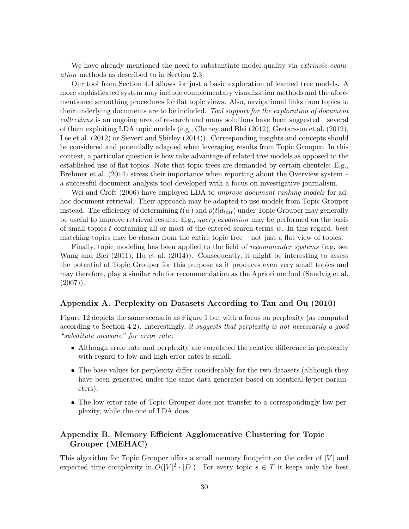We have already mentioned the need to substantiate model quality via *extrinsic evalu*ation methods as described to in Section [2.3.](#page-7-1)

Our tool from Section [4.4](#page-23-0) allows for just a basic exploration of learned tree models. A more sophisticated system may include complementary visualization methods and the aforementioned smoothing procedures for flat topic views. Also, navigational links from topics to their underlying documents are to be included. Tool support for the exploration of document collections is an ongoing area of research and many solutions have been suggested—several of them exploiting LDA topic models (e.g., [Chaney and Blei](#page-35-10) [\(2012\)](#page-35-10), [Gretarsson et al.](#page-36-10) [\(2012\)](#page-36-10), [Lee et al.](#page-37-10) [\(2012\)](#page-37-10) or [Sievert and Shirley](#page-39-10) [\(2014\)](#page-39-10)). Corresponding insights and concepts should be considered and potentially adapted when leveraging results from Topic Grouper. In this context, a particular question is how take advantage of related tree models as opposed to the established use of flat topics. Note that topic trees are demanded by certain clientele: E.g., [Brehmer et al.](#page-35-11) [\(2014\)](#page-35-11) stress their importance when reporting about the Overview system – a successful document analysis tool developed with a focus on investigative journalism.

[Wei and Croft](#page-39-11) [\(2006\)](#page-39-11) have employed LDA to *improve document ranking models* for adhoc document retrieval. Their approach may be adapted to use models from Topic Grouper instead. The efficiency of determining  $t(w)$  and  $p(t|d_{test})$  under Topic Grouper may generally be useful to improve retrieval results: E.g., *query expansion* may be performed on the basis of small topics t containing all or most of the entered search terms  $w$ . In this regard, best matching topics may be chosen from the entire topic tree – not just a flat view of topics.

Finally, topic modeling has been applied to the field of recommender systems (e.g. see [Wang and Blei](#page-39-9) [\(2011\)](#page-39-9); [Hu et al.](#page-37-0) [\(2014\)](#page-37-0)). Consequently, it might be interesting to assess the potential of Topic Grouper for this purpose as it produces even very small topics and may therefore, play a similar role for recommendation as the Apriori method [\(Sandvig et al.](#page-38-11)  $(2007)$ .

## Appendix A. Perplexity on Datasets According to [Tan and Ou](#page-39-5) [\(2010\)](#page-39-5)

Figure [12](#page-30-0) depicts the same scenario as Figure [1](#page-14-0) but with a focus on perplexity (as computed according to Section [4.2\)](#page-15-2). Interestingly, it suggests that perplexity is not necessarily a good "substitute measure" for error rate:

- Although error rate and perplexity are correlated the relative difference in perplexity with regard to low and high error rates is small.
- The base values for perplexity differ considerably for the two datasets (although they have been generated under the same data generator based on identical hyper parameters).
- The low error rate of Topic Grouper does not transfer to a correspondingly low perplexity, while the one of LDA does.

## Appendix B. Memory Efficient Agglomerative Clustering for Topic Grouper (MEHAC)

This algorithm for Topic Grouper offers a small memory footprint on the order of  $|V|$  and expected time complexity in  $O(|V|^2 \cdot |D|)$ . For every topic  $s \in T$  it keeps only the best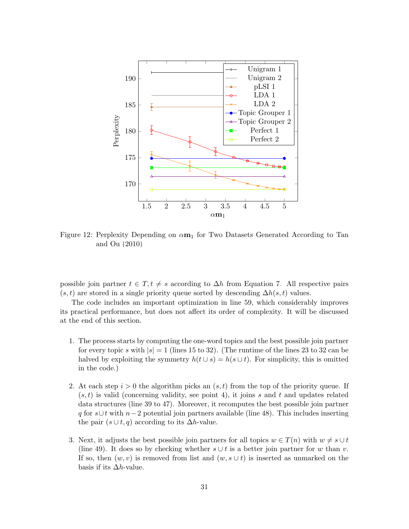

<span id="page-30-0"></span>Figure 12: Perplexity Depending on  $\alpha m_1$  for Two Datasets Generated According to [Tan](#page-39-5) [and Ou](#page-39-5) [\(2010\)](#page-39-5)

possible join partner  $t \in T$ ,  $t \neq s$  according to  $\Delta h$  from Equation [7.](#page-10-3) All respective pairs  $(s, t)$  are stored in a single priority queue sorted by descending  $\Delta h(s, t)$  values.

The code includes an important optimization in line 59, which considerably improves its practical performance, but does not affect its order of complexity. It will be discussed at the end of this section.

- 1. The process starts by computing the one-word topics and the best possible join partner for every topic s with  $|s| = 1$  (lines 15 to 32). (The runtime of the lines 23 to 32 can be halved by exploiting the symmetry  $h(t \cup s) = h(s \cup t)$ . For simplicity, this is omitted in the code.)
- 2. At each step  $i > 0$  the algorithm picks an  $(s, t)$  from the top of the priority queue. If  $(s, t)$  is valid (concerning validity, see point 4), it joins s and t and updates related data structures (line 39 to 47). Moreover, it recomputes the best possible join partner q for s∪t with  $n-2$  potential join partners available (line 48). This includes inserting the pair  $(s \cup t, q)$  according to its  $\Delta h$ -value.
- 3. Next, it adjusts the best possible join partners for all topics  $w \in T(n)$  with  $w \neq s \cup t$ (line 49). It does so by checking whether  $s \cup t$  is a better join partner for w than v. If so, then  $(w, v)$  is removed from list and  $(w, s \cup t)$  is inserted as unmarked on the basis if its  $\Delta h$ -value.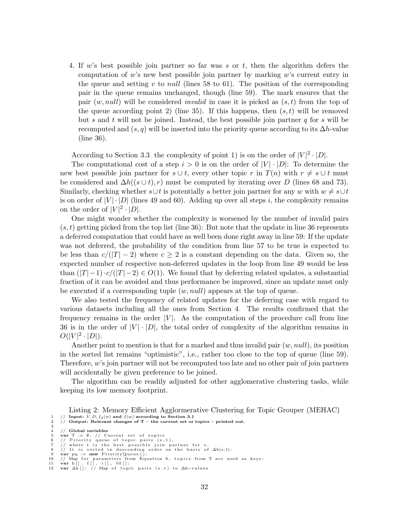4. If w's best possible join partner so far was s or t, then the algorithm defers the computation of w's new best possible join partner by marking w's current entry in the queue and setting v to *null* (lines 58 to 61). The position of the corresponding pair in the queue remains unchanged, though (line 59). The mark ensures that the pair  $(w, null)$  will be considered *invalid* in case it is picked as  $(s, t)$  from the top of the queue according point 2) (line 35). If this happens, then  $(s, t)$  will be removed but s and t will not be joined. Instead, the best possible join partner  $q$  for s will be recomputed and  $(s, q)$  will be inserted into the priority queue according to its  $\Delta h$ -value (line 36).

According to Section [3.3,](#page-11-2) the complexity of point 1) is on the order of  $|V|^2 \cdot |D|$ .

The computational cost of a step  $i > 0$  is on the order of  $|V| \cdot |D|$ : To determine the new best possible join partner for  $s \cup t$ , every other topic r in  $T(n)$  with  $r \neq s \cup t$  must be considered and  $\Delta h((s \cup t), r)$  must be computed by iterating over D (lines 68 and 73). Similarly, checking whether  $s \cup t$  is potentially a better join partner for any w with  $w \neq s \cup t$ is on order of  $|V| \cdot |D|$  (lines 49 and 60). Adding up over all steps i, the complexity remains on the order of  $|V|^2 \cdot |D|$ .

One might wonder whether the complexity is worsened by the number of invalid pairs  $(s, t)$  getting picked from the top list (line 36): But note that the update in line 36 represents a deferred computation that could have as well been done right away in line 59: If the update was not deferred, the probability of the condition from line 57 to be true is expected to be less than  $c/(|T|-2)$  where  $c \geq 2$  is a constant depending on the data. Given so, the expected number of respective non-deferred updates in the loop from line 49 would be less than  $(|T|-1)\cdot c/(|T|-2) \in O(1)$ . We found that by deferring related updates, a substantial fraction of it can be avoided and thus performance be improved, since an update must only be executed if a corresponding tuple  $(w, null)$  appears at the top of queue.

We also tested the frequency of related updates for the deferring case with regard to various datasets including all the ones from Section [4.](#page-12-0) The results confirmed that the frequency remains in the order  $|V|$ . As the computation of the procedure call from line 36 is in the order of  $|V| \cdot |D|$ , the total order of complexity of the algorithm remains in  $O(|V|^2 \cdot |D|).$ 

Another point to mention is that for a marked and thus invalid pair  $(w, null)$ , its position in the sorted list remains "optimistic", i.e., rather too close to the top of queue (line 59). Therefore,  $w$ 's join partner will not be recomputed too late and no other pair of join partners will accidentally be given preference to be joined.

The algorithm can be readily adjusted for other agglomerative clustering tasks, while keeping its low memory footprint.

<span id="page-31-0"></span>Listing 2: Memory Efficient Agglormerative Clustering for Topic Grouper (MEHAC) 1 // Input:  $V, D, f_d(w)$  and  $f(w)$  according to Section [3.1](#page-9-1)<br>2 // Output: Relevant changes of T – the current set of topics – printed out.

<sup>3</sup> 4 // Global variables

<sup>5</sup> var T :=  $\emptyset$ ; // Current set of topics<br>6 // Priority queue of topic pairs (s,t),<br>7 // where t is the best possible join partner for s.<br>8 // It is sorted in descending order on the basis of  $\Delta h(s,t)$ :

<sup>9</sup> var  $pq := new$  PriorityQueue ();

<sup>10 //</sup> Map for parameters from Equation [8](#page-10-1), topics from T are used as keys:<br>11 **var** h[], f[], i[], fd[];<br>12 **var** Δh[]; // Map of topic pairs (s,t) to Δh−values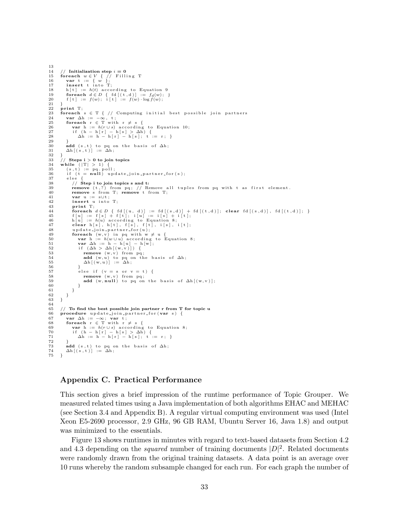```
13
14 // Initialization step i = 0<br>15 foreach w \in V { // Fill
15 foreach w \in V { // Filling T<br>16 var t := { w };
 16 var t := \{ w \};<br>17 insert t into T;
18 h [t] := h(t) 9<br>19 foreach d \in D { fd [(t,d)] := f_d(w);
 19 foreach d \in D { fd [(t, d)] := f_d(w); }<br>20 f [t] := f(w); i [t] := f(w) \cdot \log f(w);\frac{21}{22}22 print T;<br>23 foreach
23 foreach s \in T { // Computing initial best possible join partners var \Delta h := -\infty, t;
 24 var \Delta h := -\infty, t;<br>25 foreach r ∈ T with r ≠ s {
 26 var h := h(r \cup s) according to Equation 10;<br>27 if (h − h[r] − h[s] > △h := r; }<br>28 △h := h − h[r] − h[s]; t := r; }
\frac{29}{30}30 add (s, t) to pq on the basis of \Delta h;<br>31 \Delta h[(s, t)] := \Delta h;
\frac{32}{33}33 // Steps i > 0 to join topics<br>34 while (|T| > 1) {
 34 while (|T| > 1) {<br>35 (s,t) := pq.poll;
\begin{array}{lll} 36 & \text{if (t = null) update\_join\_partner\_for(s);} \\ 37 & \text{else } \end{array}37 else {<br>38 // Step i to join topics s and t:
 39 remove (t,?) from pq; // Remove all tuples from pq with t as first element.<br>40 remove s from T; remove t from T;
 41 var u := s∪t;<br>42 insert u into T;
43 print T;<br>44 foreach
 44 foreach d \in D { fd[(u, d)] := fd[(s,d)] + fd[(t,d)]; clear fd[(s,d)], fd[(t,d)]; }<br>45 f[u] := f[s] + f[t]; i[u] := i[s] + i[t];<br>h[u] := h(u) according to Equation 8;
 47 clear h[s], h[t], f[s], f[t], i[s], i[t];<br>48 update_join_partner_for(u);
 49 foreach (w, v) in pq with w \neq u {<br>50 var h := h(w \cup u) according to Equation 8;<br>52 if (\Delta h > \Delta h \mid (w, v) \mid) {
 53 remove (w, v) from pq;<br>54 add (w, u) to pq on the basis of \Delta h;<br>55 \Delta h (w, u) := \Delta h;
\frac{56}{57}57 else if (v = s \text{ or } v = t) {<br>58 remove (w, v) from no:
 58 remove (w, v) from pq;<br>59 add (w, null) to pq on the basis of \Delta h[(w, v)];\begin{matrix} 60 & 1 \ 61 & 1 \end{matrix}\rightarrow<sup>3</sup>
\frac{62}{63}63 }
64\overline{6}65 // To find the best possible join partner r from T for topic u<br>66 procedure update-join-partner-for (var s) {
66 procedure update_join_partner_for(var s) {<br>67 var \Delta h := -\infty: var t:
 67 var \Delta h := -\infty; var t;<br>68 foreach r ∈ T with r ≠ s {
 69 var h := h(r \cup s) 8;<br>70 if (h - h[r] - h[s] > \Delta h i:= r; }
72
 73 add (s, t) to pq on the basis of \Delta h;<br>74 \Delta h[(s, t)] := \Delta h;
75 - 1
```
## Appendix C. Practical Performance

This section gives a brief impression of the runtime performance of Topic Grouper. We measured related times using a Java implementation of both algorithms EHAC and MEHAC (see Section [3.4](#page-11-3) and Appendix [B\)](#page-1-0). A regular virtual computing environment was used (Intel Xeon E5-2690 processor, 2.9 GHz, 96 GB RAM, Ubuntu Server 16, Java 1.8) and output was minimized to the essentials.

Figure [13](#page-33-0) shows runtimes in minutes with regard to text-based datasets from Section [4.2](#page-15-2) and [4.3](#page-19-0) depending on the *squared* number of training documents  $|D|^2$ . Related documents were randomly drawn from the original training datasets. A data point is an average over 10 runs whereby the random subsample changed for each run. For each graph the number of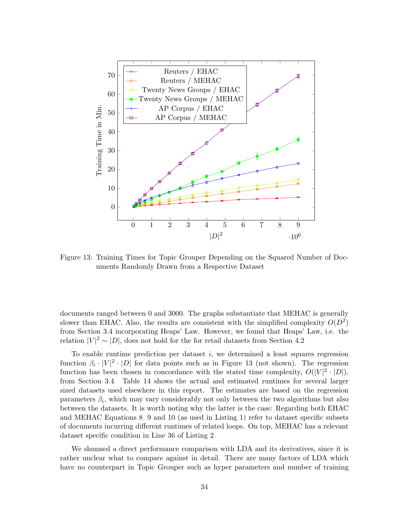

<span id="page-33-0"></span>Figure 13: Training Times for Topic Grouper Depending on the Squared Number of Documents Randomly Drawn from a Respective Dataset

documents ranged between 0 and 3000. The graphs substantiate that MEHAC is generally slower than EHAC. Also, the results are consistent with the simplified complexity  $O(D^2)$ from Section [3.4](#page-11-3) incorporating Heaps' Law. However, we found that Heaps' Law, i.e. the relation  $|V|^2 \sim |D|$ , does not hold for the for retail datasets from Section [4.2.](#page-15-2)

To enable runtime prediction per dataset  $i$ , we determined a least squares regression function  $\beta_i \cdot |V|^2 \cdot |D|$  for data points such as in Figure [13](#page-33-0) (not shown). The regression function has been chosen in concordance with the stated time complexity,  $O(|V|^2 \cdot |D|)$ , from Section [3.4.](#page-11-3) Table [14](#page-34-0) shows the actual and estimated runtimes for several larger sized datasets used elsewhere in this report. The estimates are based on the regression parameters  $\beta_i$ , which may vary considerably not only between the two algorithms but also between the datasets. It is worth noting why the latter is the case: Regarding both EHAC and MEHAC Equations [8,](#page-10-1) [9](#page-11-0) and [10](#page-11-1) (as used in Listing [1\)](#page-12-2) refer to dataset specific subsets of documents incurring different runtimes of related loops. On top, MEHAC has a relevant dataset specific condition in Line 36 of Listing [2.](#page-31-0)

We shunned a direct performance comparison with LDA and its derivatives, since it is rather unclear what to compare against in detail. There are many factors of LDA which have no counterpart in Topic Grouper such as hyper parameters and number of training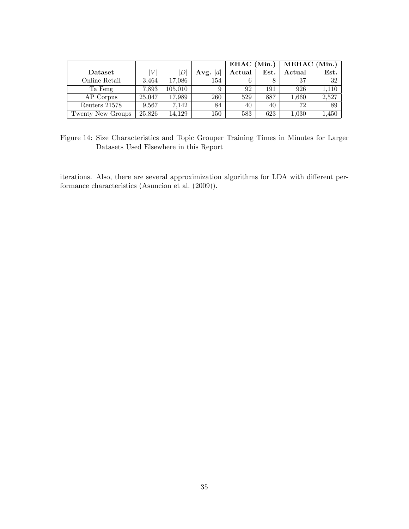|                             |        |                           |            | EHAC (Min.) |      | MEHAC (Min.) |               |
|-----------------------------|--------|---------------------------|------------|-------------|------|--------------|---------------|
| $\mathbf{D}\mathbf{ataset}$ | V      | $\left\vert D\right\vert$ | d <br>Avg. | Actual      | Est. | Actual       | $_{\rm Est.}$ |
| Online Retail               | 3,464  | 17,086                    | 154        | 6           |      | 37           | 32            |
| Ta Feng                     | 7,893  | 105,010                   | 9          | 92          | 191  | 926          | 1,110         |
| AP Corpus                   | 25,047 | 17,989                    | 260        | 529         | 887  | 1,660        | 2,527         |
| Reuters 21578               | 9,567  | 7,142                     | 84         | 40          | 40   | 72           | 89            |
| Twenty New Groups           | 25,826 | 14.129                    | 150        | 583         | 623  | 1,030        | 1,450         |

<span id="page-34-0"></span>Figure 14: Size Characteristics and Topic Grouper Training Times in Minutes for Larger Datasets Used Elsewhere in this Report

iterations. Also, there are several approximization algorithms for LDA with different performance characteristics [\(Asuncion et al.](#page-35-3) [\(2009\)](#page-35-3)).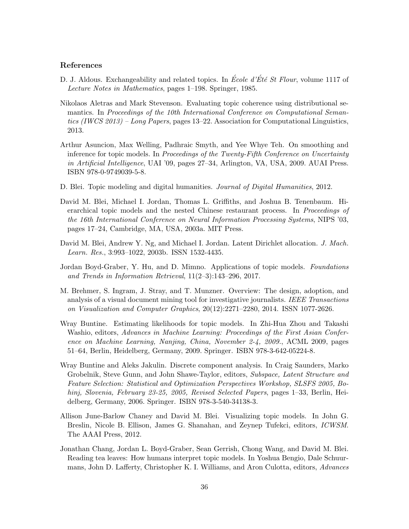## References

- <span id="page-35-6"></span>D. J. Aldous. Exchangeability and related topics. In *École d'Été St Flour*, volume 1117 of Lecture Notes in Mathematics, pages 1–198. Springer, 1985.
- <span id="page-35-9"></span>Nikolaos Aletras and Mark Stevenson. Evaluating topic coherence using distributional semantics. In Proceedings of the 10th International Conference on Computational Semantics (IWCS 2013) – Long Papers, pages 13–22. Association for Computational Linguistics, 2013.
- <span id="page-35-3"></span>Arthur Asuncion, Max Welling, Padhraic Smyth, and Yee Whye Teh. On smoothing and inference for topic models. In Proceedings of the Twenty-Fifth Conference on Uncertainty in Artificial Intelligence, UAI '09, pages 27–34, Arlington, VA, USA, 2009. AUAI Press. ISBN 978-0-9749039-5-8.
- <span id="page-35-1"></span>D. Blei. Topic modeling and digital humanities. *Journal of Digital Humanities*, 2012.
- <span id="page-35-5"></span>David M. Blei, Michael I. Jordan, Thomas L. Griffiths, and Joshua B. Tenenbaum. Hierarchical topic models and the nested Chinese restaurant process. In Proceedings of the 16th International Conference on Neural Information Processing Systems, NIPS '03, pages 17–24, Cambridge, MA, USA, 2003a. MIT Press.
- <span id="page-35-0"></span>David M. Blei, Andrew Y. Ng, and Michael I. Jordan. Latent Dirichlet allocation. J. Mach. Learn. Res., 3:993–1022, 2003b. ISSN 1532-4435.
- <span id="page-35-2"></span>Jordan Boyd-Graber, Y. Hu, and D. Mimno. Applications of topic models. Foundations and Trends in Information Retrieval, 11(2–3):143–296, 2017.
- <span id="page-35-11"></span>M. Brehmer, S. Ingram, J. Stray, and T. Munzner. Overview: The design, adoption, and analysis of a visual document mining tool for investigative journalists. IEEE Transactions on Visualization and Computer Graphics, 20(12):2271–2280, 2014. ISSN 1077-2626.
- <span id="page-35-7"></span>Wray Buntine. Estimating likelihoods for topic models. In Zhi-Hua Zhou and Takashi Washio, editors, Advances in Machine Learning: Proceedings of the First Asian Conference on Machine Learning, Nanjing, China, November 2-4, 2009., ACML 2009, pages 51–64, Berlin, Heidelberg, Germany, 2009. Springer. ISBN 978-3-642-05224-8.
- <span id="page-35-4"></span>Wray Buntine and Aleks Jakulin. Discrete component analysis. In Craig Saunders, Marko Grobelnik, Steve Gunn, and John Shawe-Taylor, editors, Subspace, Latent Structure and Feature Selection: Statistical and Optimization Perspectives Workshop, SLSFS 2005, Bohinj, Slovenia, February 23-25, 2005, Revised Selected Papers, pages 1–33, Berlin, Heidelberg, Germany, 2006. Springer. ISBN 978-3-540-34138-3.
- <span id="page-35-10"></span>Allison June-Barlow Chaney and David M. Blei. Visualizing topic models. In John G. Breslin, Nicole B. Ellison, James G. Shanahan, and Zeynep Tufekci, editors, ICWSM. The AAAI Press, 2012.
- <span id="page-35-8"></span>Jonathan Chang, Jordan L. Boyd-Graber, Sean Gerrish, Chong Wang, and David M. Blei. Reading tea leaves: How humans interpret topic models. In Yoshua Bengio, Dale Schuurmans, John D. Lafferty, Christopher K. I. Williams, and Aron Culotta, editors, Advances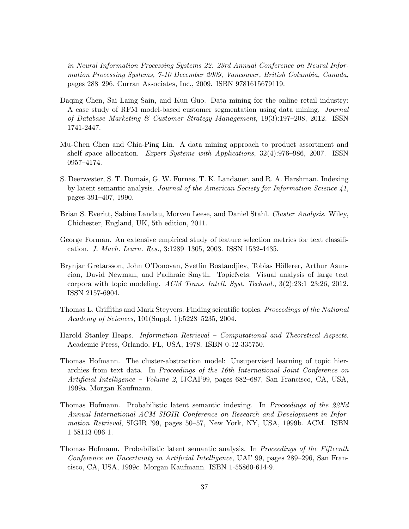in Neural Information Processing Systems 22: 23rd Annual Conference on Neural Information Processing Systems, 7-10 December 2009, Vancouver, British Columbia, Canada, pages 288–296. Curran Associates, Inc., 2009. ISBN 9781615679119.

- <span id="page-36-8"></span>Daqing Chen, Sai Laing Sain, and Kun Guo. Data mining for the online retail industry: A case study of RFM model-based customer segmentation using data mining. Journal of Database Marketing & Customer Strategy Management,  $19(3):197-208$ , 2012. ISSN 1741-2447.
- <span id="page-36-7"></span>Mu-Chen Chen and Chia-Ping Lin. A data mining approach to product assortment and shelf space allocation. Expert Systems with Applications, 32(4):976–986, 2007. ISSN 0957–4174.
- <span id="page-36-3"></span>S. Deerwester, S. T. Dumais, G. W. Furnas, T. K. Landauer, and R. A. Harshman. Indexing by latent semantic analysis. Journal of the American Society for Information Science 41, pages 391–407, 1990.
- <span id="page-36-2"></span>Brian S. Everitt, Sabine Landau, Morven Leese, and Daniel Stahl. Cluster Analysis. Wiley, Chichester, England, UK, 5th edition, 2011.
- <span id="page-36-9"></span>George Forman. An extensive empirical study of feature selection metrics for text classification. J. Mach. Learn. Res., 3:1289–1305, 2003. ISSN 1532-4435.
- <span id="page-36-10"></span>Brynjar Gretarsson, John O'Donovan, Svetlin Bostandjiev, Tobias Höllerer, Arthur Asuncion, David Newman, and Padhraic Smyth. TopicNets: Visual analysis of large text corpora with topic modeling. ACM Trans. Intell. Syst. Technol., 3(2):23:1–23:26, 2012. ISSN 2157-6904.
- <span id="page-36-1"></span>Thomas L. Griffiths and Mark Steyvers. Finding scientific topics. Proceedings of the National Academy of Sciences, 101(Suppl. 1):5228–5235, 2004.
- <span id="page-36-6"></span>Harold Stanley Heaps. Information Retrieval – Computational and Theoretical Aspects. Academic Press, Orlando, FL, USA, 1978. ISBN 0-12-335750.
- <span id="page-36-5"></span>Thomas Hofmann. The cluster-abstraction model: Unsupervised learning of topic hierarchies from text data. In Proceedings of the 16th International Joint Conference on Artificial Intelligence – Volume 2, IJCAI'99, pages 682–687, San Francisco, CA, USA, 1999a. Morgan Kaufmann.
- <span id="page-36-4"></span>Thomas Hofmann. Probabilistic latent semantic indexing. In Proceedings of the 22Nd Annual International ACM SIGIR Conference on Research and Development in Information Retrieval, SIGIR '99, pages 50–57, New York, NY, USA, 1999b. ACM. ISBN 1-58113-096-1.
- <span id="page-36-0"></span>Thomas Hofmann. Probabilistic latent semantic analysis. In Proceedings of the Fifteenth Conference on Uncertainty in Artificial Intelligence, UAI' 99, pages 289–296, San Francisco, CA, USA, 1999c. Morgan Kaufmann. ISBN 1-55860-614-9.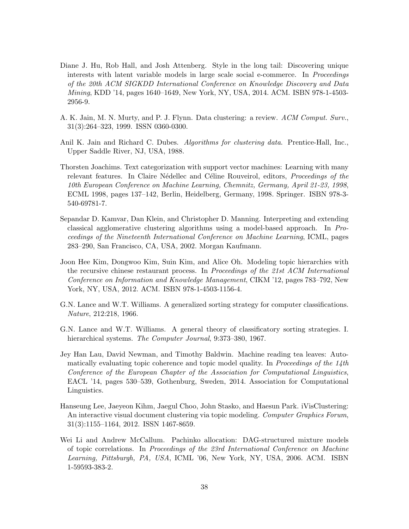- <span id="page-37-0"></span>Diane J. Hu, Rob Hall, and Josh Attenberg. Style in the long tail: Discovering unique interests with latent variable models in large scale social e-commerce. In Proceedings of the 20th ACM SIGKDD International Conference on Knowledge Discovery and Data Mining, KDD '14, pages 1640–1649, New York, NY, USA, 2014. ACM. ISBN 978-1-4503- 2956-9.
- <span id="page-37-5"></span>A. K. Jain, M. N. Murty, and P. J. Flynn. Data clustering: a review. ACM Comput. Surv., 31(3):264–323, 1999. ISSN 0360-0300.
- <span id="page-37-4"></span>Anil K. Jain and Richard C. Dubes. Algorithms for clustering data. Prentice-Hall, Inc., Upper Saddle River, NJ, USA, 1988.
- <span id="page-37-9"></span>Thorsten Joachims. Text categorization with support vector machines: Learning with many relevant features. In Claire Nédellec and Céline Rouveirol, editors, *Proceedings of the* 10th European Conference on Machine Learning, Chemnitz, Germany, April 21-23, 1998, ECML 1998, pages 137–142, Berlin, Heidelberg, Germany, 1998. Springer. ISBN 978-3- 540-69781-7.
- <span id="page-37-3"></span>Sepandar D. Kamvar, Dan Klein, and Christopher D. Manning. Interpreting and extending classical agglomerative clustering algorithms using a model-based approach. In Proceedings of the Nineteenth International Conference on Machine Learning, ICML, pages 283–290, San Francisco, CA, USA, 2002. Morgan Kaufmann.
- <span id="page-37-7"></span>Joon Hee Kim, Dongwoo Kim, Suin Kim, and Alice Oh. Modeling topic hierarchies with the recursive chinese restaurant process. In Proceedings of the 21st ACM International Conference on Information and Knowledge Management, CIKM '12, pages 783–792, New York, NY, USA, 2012. ACM. ISBN 978-1-4503-1156-4.
- <span id="page-37-1"></span>G.N. Lance and W.T. Williams. A generalized sorting strategy for computer classifications. Nature, 212:218, 1966.
- <span id="page-37-2"></span>G.N. Lance and W.T. Williams. A general theory of classificatory sorting strategies. I. hierarchical systems. The Computer Journal, 9:373-380, 1967.
- <span id="page-37-8"></span>Jey Han Lau, David Newman, and Timothy Baldwin. Machine reading tea leaves: Automatically evaluating topic coherence and topic model quality. In Proceedings of the  $14$ th Conference of the European Chapter of the Association for Computational Linguistics, EACL '14, pages 530–539, Gothenburg, Sweden, 2014. Association for Computational Linguistics.
- <span id="page-37-10"></span>Hanseung Lee, Jaeyeon Kihm, Jaegul Choo, John Stasko, and Haesun Park. iVisClustering: An interactive visual document clustering via topic modeling. Computer Graphics Forum, 31(3):1155–1164, 2012. ISSN 1467-8659.
- <span id="page-37-6"></span>Wei Li and Andrew McCallum. Pachinko allocation: DAG-structured mixture models of topic correlations. In Proceedings of the 23rd International Conference on Machine Learning, Pittsburgh, PA, USA, ICML '06, New York, NY, USA, 2006. ACM. ISBN 1-59593-383-2.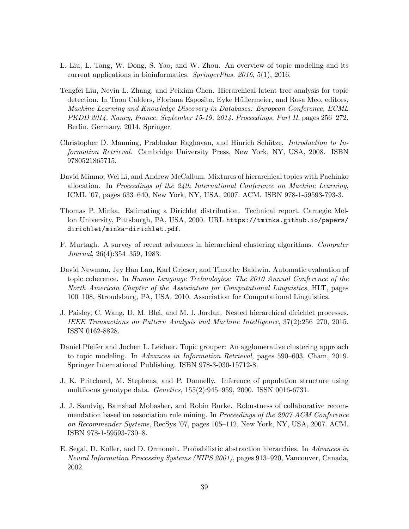- <span id="page-38-2"></span>L. Liu, L. Tang, W. Dong, S. Yao, and W. Zhou. An overview of topic modeling and its current applications in bioinformatics. SpringerPlus. 2016, 5(1), 2016.
- <span id="page-38-7"></span>Tengfei Liu, Nevin L. Zhang, and Peixian Chen. Hierarchical latent tree analysis for topic detection. In Toon Calders, Floriana Esposito, Eyke Hüllermeier, and Rosa Meo, editors, Machine Learning and Knowledge Discovery in Databases: European Conference, ECML PKDD 2014, Nancy, France, September 15-19, 2014. Proceedings, Part II, pages 256–272, Berlin, Germany, 2014. Springer.
- <span id="page-38-10"></span>Christopher D. Manning, Prabhakar Raghavan, and Hinrich Schütze. Introduction to Information Retrieval. Cambridge University Press, New York, NY, USA, 2008. ISBN 9780521865715.
- <span id="page-38-8"></span>David Mimno, Wei Li, and Andrew McCallum. Mixtures of hierarchical topics with Pachinko allocation. In Proceedings of the 24th International Conference on Machine Learning, ICML '07, pages 633–640, New York, NY, USA, 2007. ACM. ISBN 978-1-59593-793-3.
- <span id="page-38-4"></span>Thomas P. Minka. Estimating a Dirichlet distribution. Technical report, Carnegie Mellon University, Pittsburgh, PA, USA, 2000. URL [https://tminka.github.io/papers/](https://tminka.github.io/papers/dirichlet/minka-dirichlet.pdf) [dirichlet/minka-dirichlet.pdf](https://tminka.github.io/papers/dirichlet/minka-dirichlet.pdf).
- <span id="page-38-3"></span>F. Murtagh. A survey of recent advances in hierarchical clustering algorithms. Computer Journal, 26(4):354–359, 1983.
- <span id="page-38-9"></span>David Newman, Jey Han Lau, Karl Grieser, and Timothy Baldwin. Automatic evaluation of topic coherence. In Human Language Technologies: The 2010 Annual Conference of the North American Chapter of the Association for Computational Linguistics, HLT, pages 100–108, Stroudsburg, PA, USA, 2010. Association for Computational Linguistics.
- <span id="page-38-6"></span>J. Paisley, C. Wang, D. M. Blei, and M. I. Jordan. Nested hierarchical dirichlet processes. IEEE Transactions on Pattern Analysis and Machine Intelligence, 37(2):256–270, 2015. ISSN 0162-8828.
- <span id="page-38-0"></span>Daniel Pfeifer and Jochen L. Leidner. Topic grouper: An agglomerative clustering approach to topic modeling. In Advances in Information Retrieval, pages 590–603, Cham, 2019. Springer International Publishing. ISBN 978-3-030-15712-8.
- <span id="page-38-1"></span>J. K. Pritchard, M. Stephens, and P. Donnelly. Inference of population structure using multilocus genotype data. Genetics, 155(2):945–959, 2000. ISSN 0016-6731.
- <span id="page-38-11"></span>J. J. Sandvig, Bamshad Mobasher, and Robin Burke. Robustness of collaborative recommendation based on association rule mining. In Proceedings of the 2007 ACM Conference on Recommender Systems, RecSys '07, pages 105–112, New York, NY, USA, 2007. ACM. ISBN 978-1-59593-730–8.
- <span id="page-38-5"></span>E. Segal, D. Koller, and D. Ormoneit. Probabilistic abstraction hierarchies. In Advances in Neural Information Processing Systems (NIPS 2001), pages 913–920, Vancouver, Canada, 2002.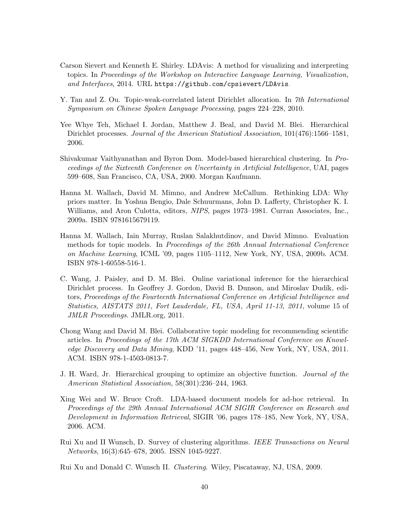- <span id="page-39-10"></span>Carson Sievert and Kenneth E. Shirley. LDAvis: A method for visualizing and interpreting topics. In Proceedings of the Workshop on Interactive Language Learning, Visualization, and Interfaces, 2014. URL <https://github.com/cpsievert/LDAvis>.
- <span id="page-39-5"></span>Y. Tan and Z. Ou. Topic-weak-correlated latent Dirichlet allocation. In 7th International Symposium on Chinese Spoken Language Processing, pages 224–228, 2010.
- <span id="page-39-6"></span>Yee Whye Teh, Michael I. Jordan, Matthew J. Beal, and David M. Blei. Hierarchical Dirichlet processes. Journal of the American Statistical Association, 101(476):1566–1581, 2006.
- <span id="page-39-2"></span>Shivakumar Vaithyanathan and Byron Dom. Model-based hierarchical clustering. In Proceedings of the Sixteenth Conference on Uncertainty in Artificial Intelligence, UAI, pages 599–608, San Francisco, CA, USA, 2000. Morgan Kaufmann.
- <span id="page-39-4"></span>Hanna M. Wallach, David M. Mimno, and Andrew McCallum. Rethinking LDA: Why priors matter. In Yoshua Bengio, Dale Schuurmans, John D. Lafferty, Christopher K. I. Williams, and Aron Culotta, editors, NIPS, pages 1973–1981. Curran Associates, Inc., 2009a. ISBN 9781615679119.
- <span id="page-39-8"></span>Hanna M. Wallach, Iain Murray, Ruslan Salakhutdinov, and David Mimno. Evaluation methods for topic models. In Proceedings of the 26th Annual International Conference on Machine Learning, ICML '09, pages 1105–1112, New York, NY, USA, 2009b. ACM. ISBN 978-1-60558-516-1.
- <span id="page-39-7"></span>C. Wang, J. Paisley, and D. M. Blei. Online variational inference for the hierarchical Dirichlet process. In Geoffrey J. Gordon, David B. Dunson, and Miroslav Dudík, editors, Proceedings of the Fourteenth International Conference on Artificial Intelligence and Statistics, AISTATS 2011, Fort Lauderdale, FL, USA, April 11-13, 2011, volume 15 of JMLR Proceedings. JMLR.org, 2011.
- <span id="page-39-9"></span>Chong Wang and David M. Blei. Collaborative topic modeling for recommending scientific articles. In Proceedings of the 17th ACM SIGKDD International Conference on Knowledge Discovery and Data Mining, KDD '11, pages 448–456, New York, NY, USA, 2011. ACM. ISBN 978-1-4503-0813-7.
- <span id="page-39-0"></span>J. H. Ward, Jr. Hierarchical grouping to optimize an objective function. Journal of the American Statistical Association, 58(301):236–244, 1963.
- <span id="page-39-11"></span>Xing Wei and W. Bruce Croft. LDA-based document models for ad-hoc retrieval. In Proceedings of the 29th Annual International ACM SIGIR Conference on Research and Development in Information Retrieval, SIGIR '06, pages 178–185, New York, NY, USA, 2006. ACM.
- <span id="page-39-1"></span>Rui Xu and II Wunsch, D. Survey of clustering algorithms. IEEE Transactions on Neural Networks, 16(3):645–678, 2005. ISSN 1045-9227.
- <span id="page-39-3"></span>Rui Xu and Donald C. Wunsch II. Clustering. Wiley, Piscataway, NJ, USA, 2009.